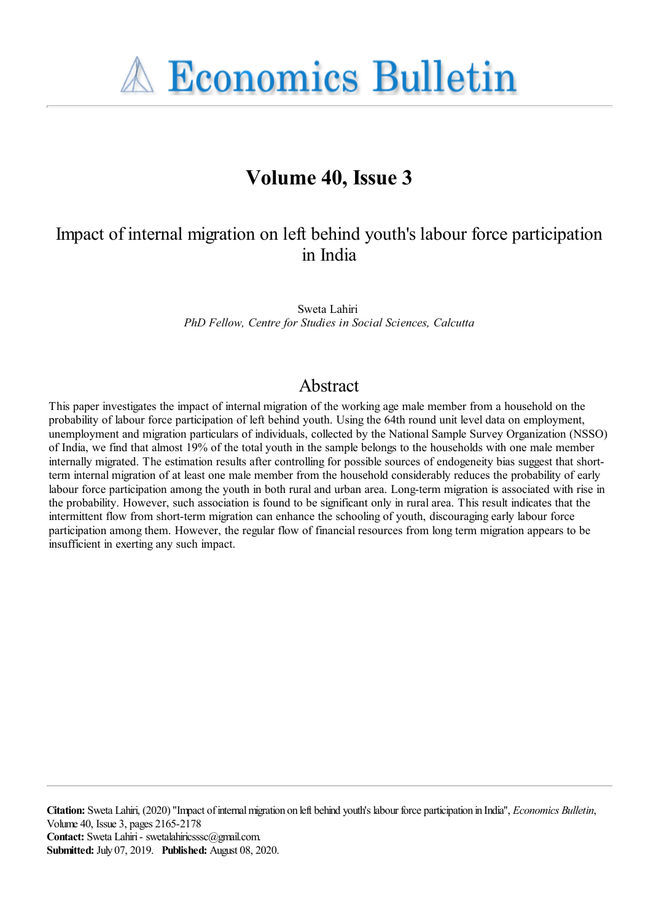**A Economics Bulletin** 

## **Volume 40, Issue 3**

### Impact of internal migration on left behind youth's labour force participation in India

Sweta Lahiri *PhD Fellow, Centre for Studies in Social Sciences, Calcutta*

### Abstract

This paper investigates the impact of internal migration of the working age male member from a household on the probability of labour force participation of left behind youth. Using the 64th round unit level data on employment, unemployment and migration particulars of individuals, collected by the National Sample Survey Organization (NSSO) of India, we find that almost 19% of the total youth in the sample belongs to the households with one male member internally migrated. The estimation results after controlling for possible sources of endogeneity bias suggest that shortterm internal migration of at least one male member from the household considerably reduces the probability of early labour force participation among the youth in both rural and urban area. Long-term migration is associated with rise in the probability. However, such association is found to be significant only in rural area. This result indicates that the intermittent flow from short-term migration can enhance the schooling of youth, discouraging early labour force participation among them. However, the regular flow of financial resources from long term migration appears to be insufficient in exerting any such impact.

**Citation:** Sweta Lahiri, (2020) ''Impact of internal migration on left behind youth's labour force participation in India'', *Economics Bulletin*, Volume 40, Issue 3, pages 2165-2178 **Contact:** Sweta Lahiri - swetalahiricsssc@gmail.com. **Submitted:** July 07, 2019. **Published:** August 08, 2020.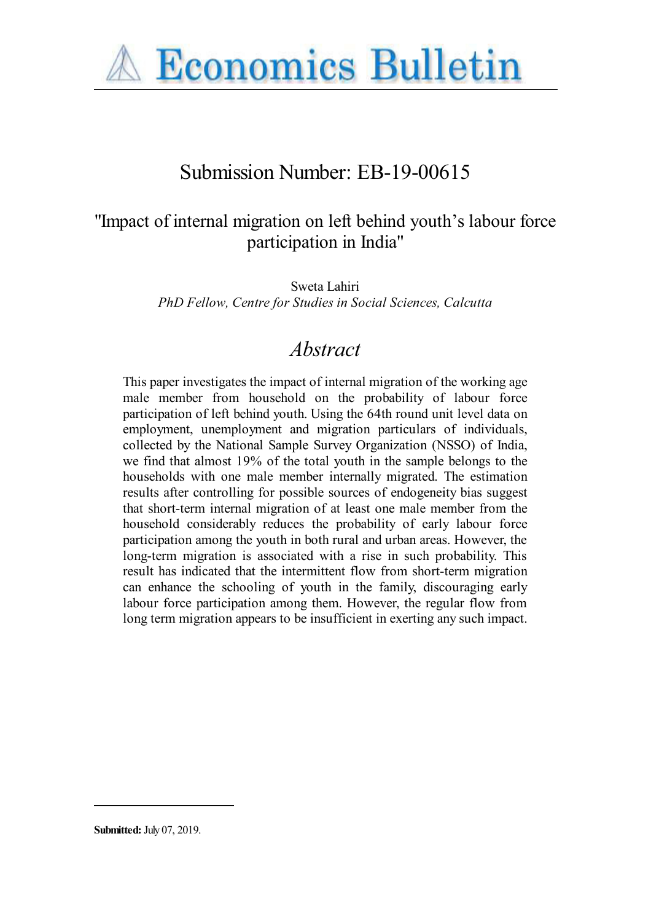

# Submission Number: EB-19-00615

### "Impact of internal migration on left behind youth's labour force participation in India"

Sweta Lahiri *PhD Fellow, Centre for Studies in Social Sciences, Calcutta*

# *Abstract*

This paper investigates the impact of internal migration of the working age male member from household on the probability of labour force participation of left behind youth. Using the 64th round unit level data on employment, unemployment and migration particulars of individuals, collected by the National Sample Survey Organization (NSSO) of India, we find that almost 19% of the total youth in the sample belongs to the households with one male member internally migrated. The estimation results after controlling for possible sources of endogeneity bias suggest that short-term internal migration of at least one male member from the household considerably reduces the probability of early labour force participation among the youth in both rural and urban areas. However, the long-term migration is associated with a rise in such probability. This result has indicated that the intermittent flow from short-term migration can enhance the schooling of youth in the family, discouraging early labour force participation among them. However, the regular flow from long term migration appears to be insufficient in exerting any such impact.

**Submitted:** July 07, 2019.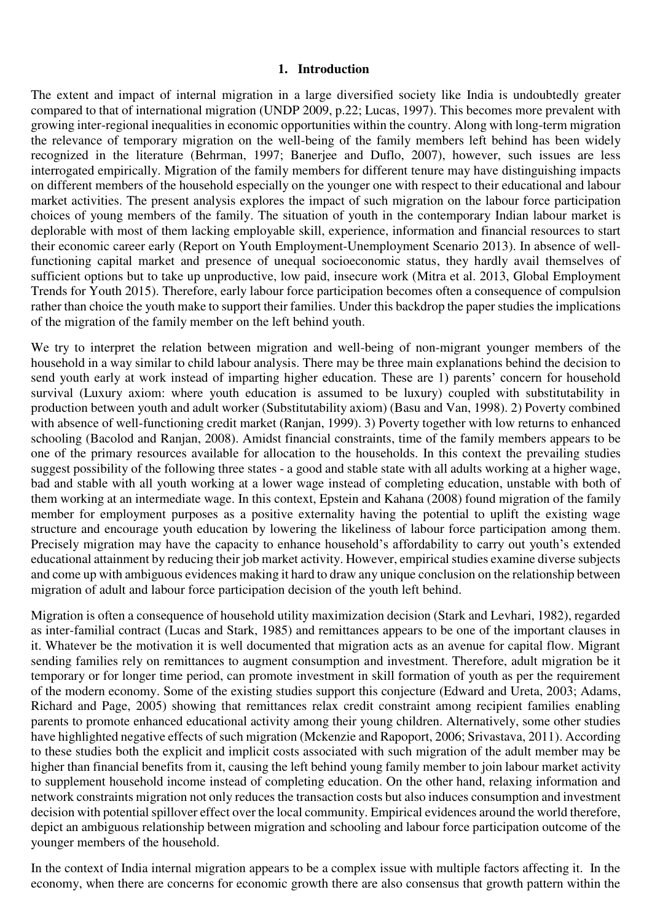#### **1. Introduction**

The extent and impact of internal migration in a large diversified society like India is undoubtedly greater compared to that of international migration (UNDP 2009, p.22; Lucas, 1997). This becomes more prevalent with growing inter-regional inequalities in economic opportunities within the country. Along with long-term migration the relevance of temporary migration on the well-being of the family members left behind has been widely recognized in the literature (Behrman, 1997; Banerjee and Duflo, 2007), however, such issues are less interrogated empirically. Migration of the family members for different tenure may have distinguishing impacts on different members of the household especially on the younger one with respect to their educational and labour market activities. The present analysis explores the impact of such migration on the labour force participation choices of young members of the family. The situation of youth in the contemporary Indian labour market is deplorable with most of them lacking employable skill, experience, information and financial resources to start their economic career early (Report on Youth Employment-Unemployment Scenario 2013). In absence of wellfunctioning capital market and presence of unequal socioeconomic status, they hardly avail themselves of sufficient options but to take up unproductive, low paid, insecure work (Mitra et al. 2013, Global Employment Trends for Youth 2015). Therefore, early labour force participation becomes often a consequence of compulsion rather than choice the youth make to support their families. Under this backdrop the paper studies the implications of the migration of the family member on the left behind youth.

We try to interpret the relation between migration and well-being of non-migrant younger members of the household in a way similar to child labour analysis. There may be three main explanations behind the decision to send youth early at work instead of imparting higher education. These are 1) parents' concern for household survival (Luxury axiom: where youth education is assumed to be luxury) coupled with substitutability in production between youth and adult worker (Substitutability axiom) (Basu and Van, 1998). 2) Poverty combined with absence of well-functioning credit market (Ranjan, 1999). 3) Poverty together with low returns to enhanced schooling (Bacolod and Ranjan, 2008). Amidst financial constraints, time of the family members appears to be one of the primary resources available for allocation to the households. In this context the prevailing studies suggest possibility of the following three states - a good and stable state with all adults working at a higher wage, bad and stable with all youth working at a lower wage instead of completing education, unstable with both of them working at an intermediate wage. In this context, Epstein and Kahana (2008) found migration of the family member for employment purposes as a positive externality having the potential to uplift the existing wage structure and encourage youth education by lowering the likeliness of labour force participation among them. Precisely migration may have the capacity to enhance household's affordability to carry out youth's extended educational attainment by reducing their job market activity. However, empirical studies examine diverse subjects and come up with ambiguous evidences making it hard to draw any unique conclusion on the relationship between migration of adult and labour force participation decision of the youth left behind.

Migration is often a consequence of household utility maximization decision (Stark and Levhari, 1982), regarded as inter-familial contract (Lucas and Stark, 1985) and remittances appears to be one of the important clauses in it. Whatever be the motivation it is well documented that migration acts as an avenue for capital flow. Migrant sending families rely on remittances to augment consumption and investment. Therefore, adult migration be it temporary or for longer time period, can promote investment in skill formation of youth as per the requirement of the modern economy. Some of the existing studies support this conjecture (Edward and Ureta, 2003; Adams, Richard and Page, 2005) showing that remittances relax credit constraint among recipient families enabling parents to promote enhanced educational activity among their young children. Alternatively, some other studies have highlighted negative effects of such migration (Mckenzie and Rapoport, 2006; Srivastava, 2011). According to these studies both the explicit and implicit costs associated with such migration of the adult member may be higher than financial benefits from it, causing the left behind young family member to join labour market activity to supplement household income instead of completing education. On the other hand, relaxing information and network constraints migration not only reduces the transaction costs but also induces consumption and investment decision with potential spillover effect over the local community. Empirical evidences around the world therefore, depict an ambiguous relationship between migration and schooling and labour force participation outcome of the younger members of the household.

In the context of India internal migration appears to be a complex issue with multiple factors affecting it. In the economy, when there are concerns for economic growth there are also consensus that growth pattern within the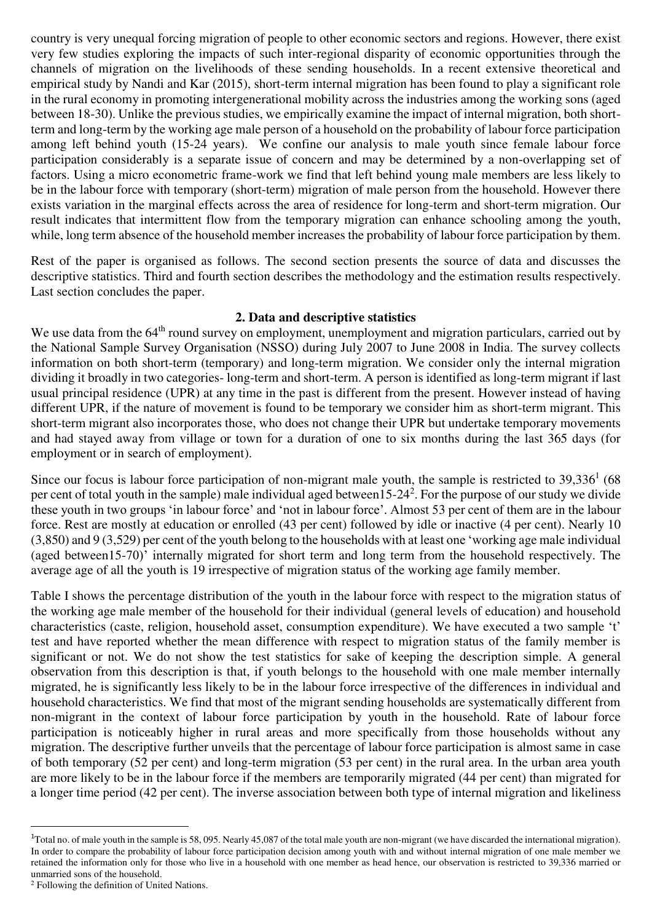country is very unequal forcing migration of people to other economic sectors and regions. However, there exist very few studies exploring the impacts of such inter-regional disparity of economic opportunities through the channels of migration on the livelihoods of these sending households. In a recent extensive theoretical and empirical study by Nandi and Kar (2015), short-term internal migration has been found to play a significant role in the rural economy in promoting intergenerational mobility across the industries among the working sons (aged between 18-30). Unlike the previous studies, we empirically examine the impact of internal migration, both shortterm and long-term by the working age male person of a household on the probability of labour force participation among left behind youth (15-24 years). We confine our analysis to male youth since female labour force participation considerably is a separate issue of concern and may be determined by a non-overlapping set of factors. Using a micro econometric frame-work we find that left behind young male members are less likely to be in the labour force with temporary (short-term) migration of male person from the household. However there exists variation in the marginal effects across the area of residence for long-term and short-term migration. Our result indicates that intermittent flow from the temporary migration can enhance schooling among the youth, while, long term absence of the household member increases the probability of labour force participation by them.

Rest of the paper is organised as follows. The second section presents the source of data and discusses the descriptive statistics. Third and fourth section describes the methodology and the estimation results respectively. Last section concludes the paper.

#### **2. Data and descriptive statistics**

We use data from the 64<sup>th</sup> round survey on employment, unemployment and migration particulars, carried out by the National Sample Survey Organisation (NSSO) during July 2007 to June 2008 in India. The survey collects information on both short-term (temporary) and long-term migration. We consider only the internal migration dividing it broadly in two categories- long-term and short-term. A person is identified as long-term migrant if last usual principal residence (UPR) at any time in the past is different from the present. However instead of having different UPR, if the nature of movement is found to be temporary we consider him as short-term migrant. This short-term migrant also incorporates those, who does not change their UPR but undertake temporary movements and had stayed away from village or town for a duration of one to six months during the last 365 days (for employment or in search of employment).

Since our focus is labour force participation of non-migrant male youth, the sample is restricted to  $39,336<sup>1</sup>$  (68) per cent of total youth in the sample) male individual aged between15-24<sup>2</sup>. For the purpose of our study we divide these youth in two groups 'in labour force' and 'not in labour force'. Almost 53 per cent of them are in the labour force. Rest are mostly at education or enrolled (43 per cent) followed by idle or inactive (4 per cent). Nearly 10 (3,850) and 9 (3,529) per cent of the youth belong to the households with at least one 'working age male individual (aged between15-70)' internally migrated for short term and long term from the household respectively. The average age of all the youth is 19 irrespective of migration status of the working age family member.

Table I shows the percentage distribution of the youth in the labour force with respect to the migration status of the working age male member of the household for their individual (general levels of education) and household characteristics (caste, religion, household asset, consumption expenditure). We have executed a two sample 't' test and have reported whether the mean difference with respect to migration status of the family member is significant or not. We do not show the test statistics for sake of keeping the description simple. A general observation from this description is that, if youth belongs to the household with one male member internally migrated, he is significantly less likely to be in the labour force irrespective of the differences in individual and household characteristics. We find that most of the migrant sending households are systematically different from non-migrant in the context of labour force participation by youth in the household. Rate of labour force participation is noticeably higher in rural areas and more specifically from those households without any migration. The descriptive further unveils that the percentage of labour force participation is almost same in case of both temporary (52 per cent) and long-term migration (53 per cent) in the rural area. In the urban area youth are more likely to be in the labour force if the members are temporarily migrated (44 per cent) than migrated for a longer time period (42 per cent). The inverse association between both type of internal migration and likeliness

l

<sup>&</sup>lt;sup>1</sup>Total no. of male youth in the sample is 58, 095. Nearly 45,087 of the total male youth are non-migrant (we have discarded the international migration). In order to compare the probability of labour force participation decision among youth with and without internal migration of one male member we retained the information only for those who live in a household with one member as head hence, our observation is restricted to 39,336 married or unmarried sons of the household.

<sup>2</sup> Following the definition of United Nations.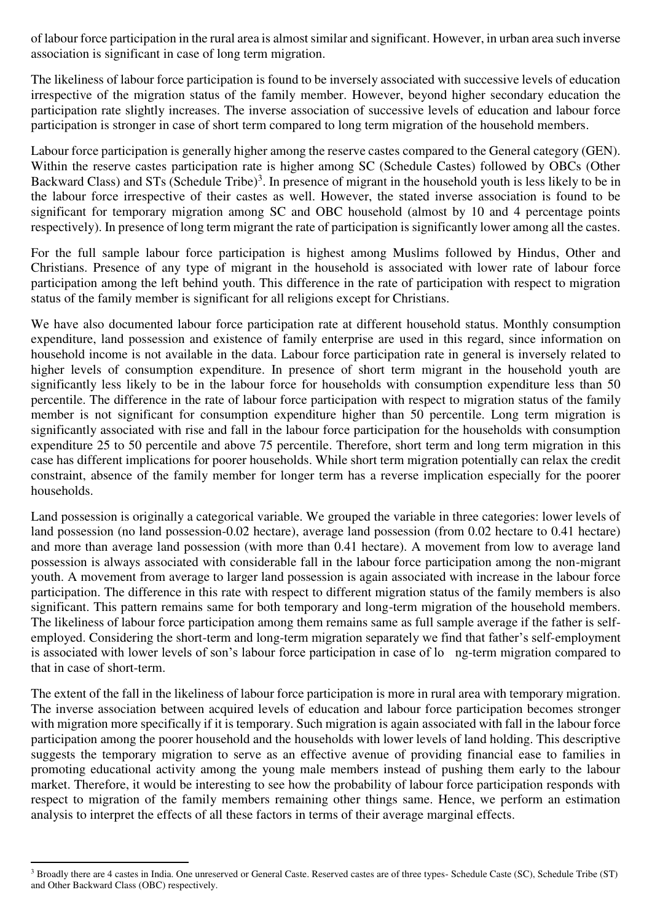of labour force participation in the rural area is almost similar and significant. However, in urban area such inverse association is significant in case of long term migration.

The likeliness of labour force participation is found to be inversely associated with successive levels of education irrespective of the migration status of the family member. However, beyond higher secondary education the participation rate slightly increases. The inverse association of successive levels of education and labour force participation is stronger in case of short term compared to long term migration of the household members.

Labour force participation is generally higher among the reserve castes compared to the General category (GEN). Within the reserve castes participation rate is higher among SC (Schedule Castes) followed by OBCs (Other Backward Class) and STs (Schedule Tribe)<sup>3</sup>. In presence of migrant in the household youth is less likely to be in the labour force irrespective of their castes as well. However, the stated inverse association is found to be significant for temporary migration among SC and OBC household (almost by 10 and 4 percentage points respectively). In presence of long term migrant the rate of participation is significantly lower among all the castes.

For the full sample labour force participation is highest among Muslims followed by Hindus, Other and Christians. Presence of any type of migrant in the household is associated with lower rate of labour force participation among the left behind youth. This difference in the rate of participation with respect to migration status of the family member is significant for all religions except for Christians.

We have also documented labour force participation rate at different household status. Monthly consumption expenditure, land possession and existence of family enterprise are used in this regard, since information on household income is not available in the data. Labour force participation rate in general is inversely related to higher levels of consumption expenditure. In presence of short term migrant in the household youth are significantly less likely to be in the labour force for households with consumption expenditure less than 50 percentile. The difference in the rate of labour force participation with respect to migration status of the family member is not significant for consumption expenditure higher than 50 percentile. Long term migration is significantly associated with rise and fall in the labour force participation for the households with consumption expenditure 25 to 50 percentile and above 75 percentile. Therefore, short term and long term migration in this case has different implications for poorer households. While short term migration potentially can relax the credit constraint, absence of the family member for longer term has a reverse implication especially for the poorer households.

Land possession is originally a categorical variable. We grouped the variable in three categories: lower levels of land possession (no land possession-0.02 hectare), average land possession (from 0.02 hectare to 0.41 hectare) and more than average land possession (with more than 0.41 hectare). A movement from low to average land possession is always associated with considerable fall in the labour force participation among the non-migrant youth. A movement from average to larger land possession is again associated with increase in the labour force participation. The difference in this rate with respect to different migration status of the family members is also significant. This pattern remains same for both temporary and long-term migration of the household members. The likeliness of labour force participation among them remains same as full sample average if the father is selfemployed. Considering the short-term and long-term migration separately we find that father's self-employment is associated with lower levels of son's labour force participation in case of lo ng-term migration compared to that in case of short-term.

The extent of the fall in the likeliness of labour force participation is more in rural area with temporary migration. The inverse association between acquired levels of education and labour force participation becomes stronger with migration more specifically if it is temporary. Such migration is again associated with fall in the labour force participation among the poorer household and the households with lower levels of land holding. This descriptive suggests the temporary migration to serve as an effective avenue of providing financial ease to families in promoting educational activity among the young male members instead of pushing them early to the labour market. Therefore, it would be interesting to see how the probability of labour force participation responds with respect to migration of the family members remaining other things same. Hence, we perform an estimation analysis to interpret the effects of all these factors in terms of their average marginal effects.

l

<sup>&</sup>lt;sup>3</sup> Broadly there are 4 castes in India. One unreserved or General Caste. Reserved castes are of three types- Schedule Caste (SC), Schedule Tribe (ST) and Other Backward Class (OBC) respectively.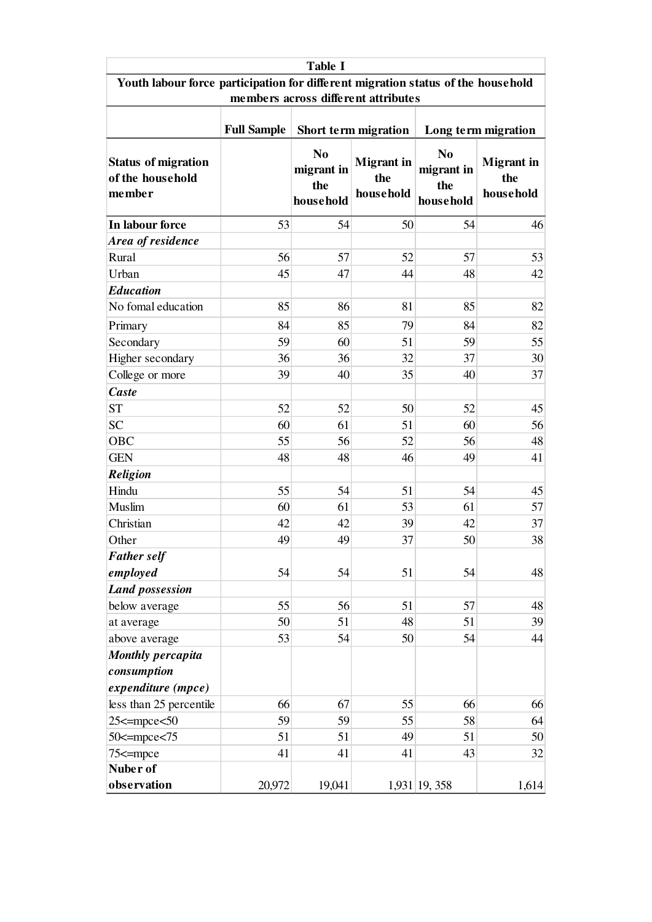| <b>Table I</b>                                                                   |                                                                   |                                                  |                                       |                                                  |                                       |  |  |  |  |  |  |
|----------------------------------------------------------------------------------|-------------------------------------------------------------------|--------------------------------------------------|---------------------------------------|--------------------------------------------------|---------------------------------------|--|--|--|--|--|--|
| Youth labour force participation for different migration status of the household |                                                                   |                                                  |                                       |                                                  |                                       |  |  |  |  |  |  |
| members across different attributes                                              |                                                                   |                                                  |                                       |                                                  |                                       |  |  |  |  |  |  |
|                                                                                  | <b>Full Sample</b><br>Short term migration<br>Long term migration |                                                  |                                       |                                                  |                                       |  |  |  |  |  |  |
| <b>Status of migration</b><br>of the household<br>member                         |                                                                   | N <sub>0</sub><br>migrant in<br>the<br>household | <b>Migrant</b> in<br>the<br>household | N <sub>0</sub><br>migrant in<br>the<br>household | <b>Migrant</b> in<br>the<br>household |  |  |  |  |  |  |
| In labour force                                                                  | 53                                                                | 54                                               | 50                                    | 54                                               | 46                                    |  |  |  |  |  |  |
| Area of residence                                                                |                                                                   |                                                  |                                       |                                                  |                                       |  |  |  |  |  |  |
| Rural                                                                            | 56                                                                | 57                                               | 52                                    | 57                                               | 53                                    |  |  |  |  |  |  |
| Urban                                                                            | 45                                                                | 47                                               | 44                                    | 48                                               | 42                                    |  |  |  |  |  |  |
| <b>Education</b>                                                                 |                                                                   |                                                  |                                       |                                                  |                                       |  |  |  |  |  |  |
| No fomal education                                                               | 85                                                                | 86                                               | 81                                    | 85                                               | 82                                    |  |  |  |  |  |  |
| Primary                                                                          | 84                                                                | 85                                               | 79                                    | 84                                               | 82                                    |  |  |  |  |  |  |
| Secondary                                                                        | 59                                                                | 60                                               | 51                                    | 59                                               | 55                                    |  |  |  |  |  |  |
| Higher secondary                                                                 | 36                                                                | 36                                               | 32                                    | 37                                               | 30                                    |  |  |  |  |  |  |
| College or more                                                                  | 39                                                                | 40                                               | 35                                    | 40                                               | 37                                    |  |  |  |  |  |  |
| <b>Caste</b>                                                                     |                                                                   |                                                  |                                       |                                                  |                                       |  |  |  |  |  |  |
| <b>ST</b>                                                                        | 52                                                                | 52                                               | 50                                    | 52                                               | 45                                    |  |  |  |  |  |  |
| <b>SC</b>                                                                        | 60                                                                | 61                                               | 51                                    | 60                                               | 56                                    |  |  |  |  |  |  |
| OBC                                                                              | 55                                                                | 56                                               | 52                                    | 56                                               | 48                                    |  |  |  |  |  |  |
| <b>GEN</b>                                                                       | 48                                                                | 48                                               | 46                                    | 49                                               | 41                                    |  |  |  |  |  |  |
| <b>Religion</b>                                                                  |                                                                   |                                                  |                                       |                                                  |                                       |  |  |  |  |  |  |
| Hindu                                                                            | 55                                                                | 54                                               | 51                                    | 54                                               | 45                                    |  |  |  |  |  |  |
| Muslim                                                                           | 60                                                                | 61                                               | 53                                    | 61                                               | 57                                    |  |  |  |  |  |  |
| Christian                                                                        | 42                                                                | 42                                               | 39                                    | 42                                               | 37                                    |  |  |  |  |  |  |
| Other                                                                            | 49                                                                | 49                                               | 37                                    | 50                                               | 38                                    |  |  |  |  |  |  |
| <b>Father self</b>                                                               |                                                                   |                                                  |                                       |                                                  |                                       |  |  |  |  |  |  |
| employed                                                                         | 54                                                                | 54                                               | 51                                    | 54                                               | 48                                    |  |  |  |  |  |  |
| <b>Land possession</b>                                                           |                                                                   |                                                  |                                       |                                                  |                                       |  |  |  |  |  |  |
| below average                                                                    | 55                                                                | 56                                               | 51                                    | 57                                               | 48                                    |  |  |  |  |  |  |
| at average                                                                       | 50                                                                | 51                                               | 48                                    | 51                                               | 39                                    |  |  |  |  |  |  |
| above average                                                                    | 53                                                                | 54                                               | 50                                    | 54                                               | 44                                    |  |  |  |  |  |  |
| <b>Monthly percapita</b>                                                         |                                                                   |                                                  |                                       |                                                  |                                       |  |  |  |  |  |  |
| consumption                                                                      |                                                                   |                                                  |                                       |                                                  |                                       |  |  |  |  |  |  |
| expenditure (mpce)                                                               |                                                                   |                                                  |                                       |                                                  |                                       |  |  |  |  |  |  |
| less than 25 percentile                                                          | 66                                                                | 67                                               | 55                                    | 66                                               | 66                                    |  |  |  |  |  |  |
| $25 \le m$ pce $\le 50$                                                          | 59                                                                | 59                                               | 55                                    | 58                                               | 64                                    |  |  |  |  |  |  |
| $50 \le mpc \le 75$                                                              | 51                                                                | 51                                               | 49                                    | 51                                               | 50                                    |  |  |  |  |  |  |
| $75 \le$ =mpce                                                                   | 41                                                                | 41                                               | 41                                    | 43                                               | 32                                    |  |  |  |  |  |  |
| Nuber of<br>observation                                                          | 20,972                                                            | 19,041                                           |                                       | 1,931 19, 358                                    | 1,614                                 |  |  |  |  |  |  |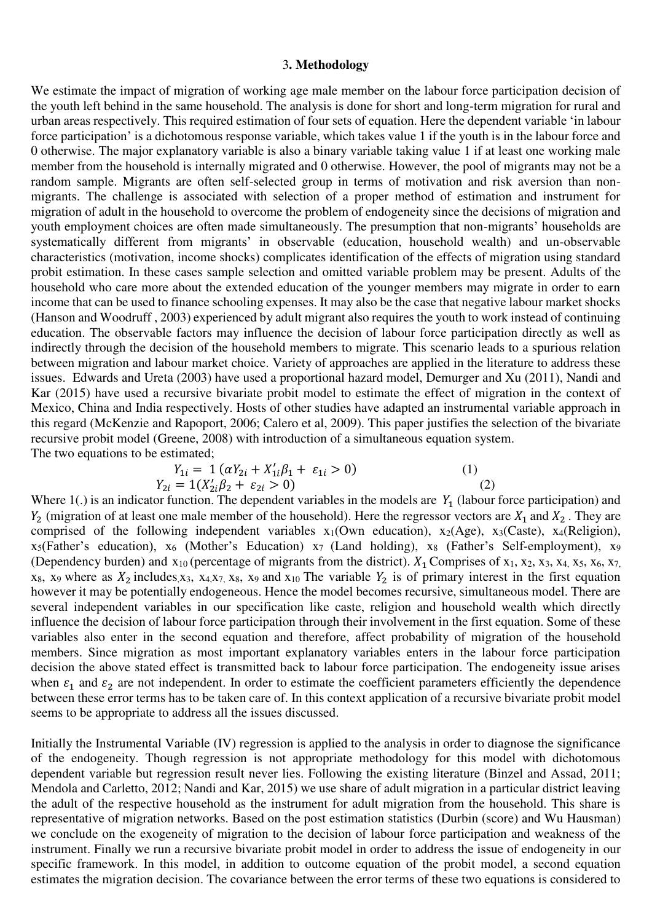#### 3**. Methodology**

We estimate the impact of migration of working age male member on the labour force participation decision of the youth left behind in the same household. The analysis is done for short and long-term migration for rural and urban areas respectively. This required estimation of four sets of equation. Here the dependent variable 'in labour force participation' is a dichotomous response variable, which takes value 1 if the youth is in the labour force and 0 otherwise. The major explanatory variable is also a binary variable taking value 1 if at least one working male member from the household is internally migrated and 0 otherwise. However, the pool of migrants may not be a random sample. Migrants are often self-selected group in terms of motivation and risk aversion than nonmigrants. The challenge is associated with selection of a proper method of estimation and instrument for migration of adult in the household to overcome the problem of endogeneity since the decisions of migration and youth employment choices are often made simultaneously. The presumption that non-migrants' households are systematically different from migrants' in observable (education, household wealth) and un-observable characteristics (motivation, income shocks) complicates identification of the effects of migration using standard probit estimation. In these cases sample selection and omitted variable problem may be present. Adults of the household who care more about the extended education of the younger members may migrate in order to earn income that can be used to finance schooling expenses. It may also be the case that negative labour market shocks (Hanson and Woodruff , 2003) experienced by adult migrant also requires the youth to work instead of continuing education. The observable factors may influence the decision of labour force participation directly as well as indirectly through the decision of the household members to migrate. This scenario leads to a spurious relation between migration and labour market choice. Variety of approaches are applied in the literature to address these issues. Edwards and Ureta (2003) have used a proportional hazard model, Demurger and Xu (2011), Nandi and Kar (2015) have used a recursive bivariate probit model to estimate the effect of migration in the context of Mexico, China and India respectively. Hosts of other studies have adapted an instrumental variable approach in this regard (McKenzie and Rapoport, 2006; Calero et al, 2009). This paper justifies the selection of the bivariate recursive probit model (Greene, 2008) with introduction of a simultaneous equation system. The two equations to be estimated;

$$
Y_{1i} = 1 (\alpha Y_{2i} + X'_{1i}\beta_1 + \varepsilon_{1i} > 0)
$$
  
\n
$$
Y_{2i} = 1(X'_{2i}\beta_2 + \varepsilon_{2i} > 0)
$$
  
\n(1)  
\n(2)

Where  $1(.)$  is an indicator function. The dependent variables in the models are  $Y_1$  (labour force participation) and  $Y_2$  (migration of at least one male member of the household). Here the regressor vectors are  $X_1$  and  $X_2$ . They are comprised of the following independent variables  $x_1(Own)$  education),  $x_2(Age)$ ,  $x_3(Caste)$ ,  $x_4(Religion)$ ,  $x_5$ (Father's education),  $x_6$  (Mother's Education)  $x_7$  (Land holding),  $x_8$  (Father's Self-employment),  $x_9$ (Dependency burden) and  $x_{10}$  (percentage of migrants from the district).  $X_1$  Comprises of  $x_1$ ,  $x_2$ ,  $x_3$ ,  $x_4$ ,  $x_5$ ,  $x_6$ ,  $x_7$ ,  $x_8$ ,  $x_9$  where as  $X_2$  includes, $x_3$ ,  $x_4$ , $x_7$ ,  $x_8$ ,  $x_9$  and  $x_{10}$  The variable  $Y_2$  is of primary interest in the first equation however it may be potentially endogeneous. Hence the model becomes recursive, simultaneous model. There are several independent variables in our specification like caste, religion and household wealth which directly influence the decision of labour force participation through their involvement in the first equation. Some of these variables also enter in the second equation and therefore, affect probability of migration of the household members. Since migration as most important explanatory variables enters in the labour force participation decision the above stated effect is transmitted back to labour force participation. The endogeneity issue arises when  $\varepsilon_1$  and  $\varepsilon_2$  are not independent. In order to estimate the coefficient parameters efficiently the dependence between these error terms has to be taken care of. In this context application of a recursive bivariate probit model seems to be appropriate to address all the issues discussed.

Initially the Instrumental Variable (IV) regression is applied to the analysis in order to diagnose the significance of the endogeneity. Though regression is not appropriate methodology for this model with dichotomous dependent variable but regression result never lies. Following the existing literature (Binzel and Assad, 2011; Mendola and Carletto, 2012; Nandi and Kar, 2015) we use share of adult migration in a particular district leaving the adult of the respective household as the instrument for adult migration from the household. This share is representative of migration networks. Based on the post estimation statistics (Durbin (score) and Wu Hausman) we conclude on the exogeneity of migration to the decision of labour force participation and weakness of the instrument. Finally we run a recursive bivariate probit model in order to address the issue of endogeneity in our specific framework. In this model, in addition to outcome equation of the probit model, a second equation estimates the migration decision. The covariance between the error terms of these two equations is considered to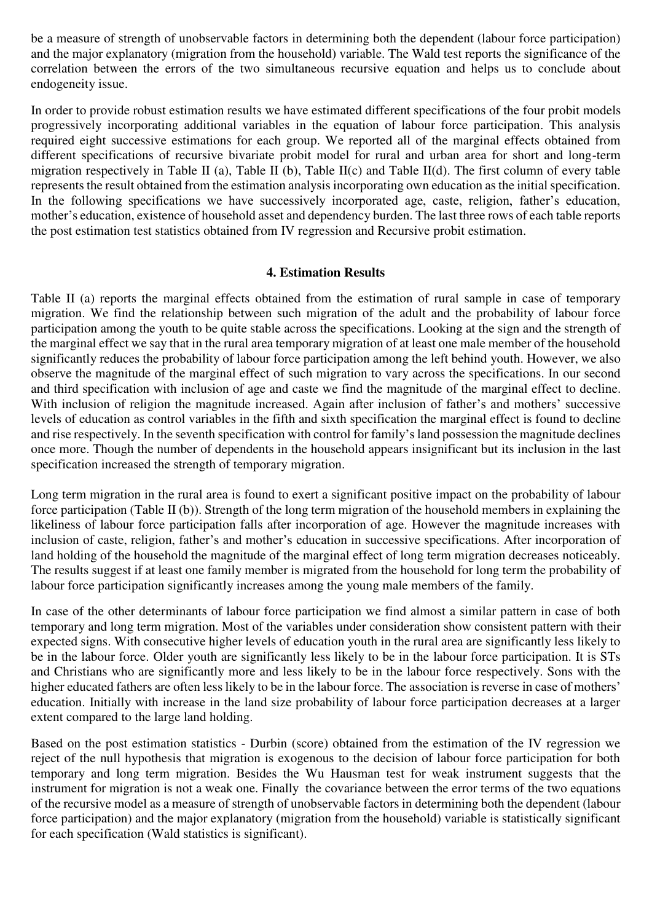be a measure of strength of unobservable factors in determining both the dependent (labour force participation) and the major explanatory (migration from the household) variable. The Wald test reports the significance of the correlation between the errors of the two simultaneous recursive equation and helps us to conclude about endogeneity issue.

In order to provide robust estimation results we have estimated different specifications of the four probit models progressively incorporating additional variables in the equation of labour force participation. This analysis required eight successive estimations for each group. We reported all of the marginal effects obtained from different specifications of recursive bivariate probit model for rural and urban area for short and long-term migration respectively in Table II (a), Table II (b), Table II(c) and Table II(d). The first column of every table represents the result obtained from the estimation analysis incorporating own education as the initial specification. In the following specifications we have successively incorporated age, caste, religion, father's education, mother's education, existence of household asset and dependency burden. The last three rows of each table reports the post estimation test statistics obtained from IV regression and Recursive probit estimation.

#### **4. Estimation Results**

Table II (a) reports the marginal effects obtained from the estimation of rural sample in case of temporary migration. We find the relationship between such migration of the adult and the probability of labour force participation among the youth to be quite stable across the specifications. Looking at the sign and the strength of the marginal effect we say that in the rural area temporary migration of at least one male member of the household significantly reduces the probability of labour force participation among the left behind youth. However, we also observe the magnitude of the marginal effect of such migration to vary across the specifications. In our second and third specification with inclusion of age and caste we find the magnitude of the marginal effect to decline. With inclusion of religion the magnitude increased. Again after inclusion of father's and mothers' successive levels of education as control variables in the fifth and sixth specification the marginal effect is found to decline and rise respectively. In the seventh specification with control for family's land possession the magnitude declines once more. Though the number of dependents in the household appears insignificant but its inclusion in the last specification increased the strength of temporary migration.

Long term migration in the rural area is found to exert a significant positive impact on the probability of labour force participation (Table II (b)). Strength of the long term migration of the household members in explaining the likeliness of labour force participation falls after incorporation of age. However the magnitude increases with inclusion of caste, religion, father's and mother's education in successive specifications. After incorporation of land holding of the household the magnitude of the marginal effect of long term migration decreases noticeably. The results suggest if at least one family member is migrated from the household for long term the probability of labour force participation significantly increases among the young male members of the family.

In case of the other determinants of labour force participation we find almost a similar pattern in case of both temporary and long term migration. Most of the variables under consideration show consistent pattern with their expected signs. With consecutive higher levels of education youth in the rural area are significantly less likely to be in the labour force. Older youth are significantly less likely to be in the labour force participation. It is STs and Christians who are significantly more and less likely to be in the labour force respectively. Sons with the higher educated fathers are often less likely to be in the labour force. The association is reverse in case of mothers' education. Initially with increase in the land size probability of labour force participation decreases at a larger extent compared to the large land holding.

Based on the post estimation statistics - Durbin (score) obtained from the estimation of the IV regression we reject of the null hypothesis that migration is exogenous to the decision of labour force participation for both temporary and long term migration. Besides the Wu Hausman test for weak instrument suggests that the instrument for migration is not a weak one. Finally the covariance between the error terms of the two equations of the recursive model as a measure of strength of unobservable factors in determining both the dependent (labour force participation) and the major explanatory (migration from the household) variable is statistically significant for each specification (Wald statistics is significant).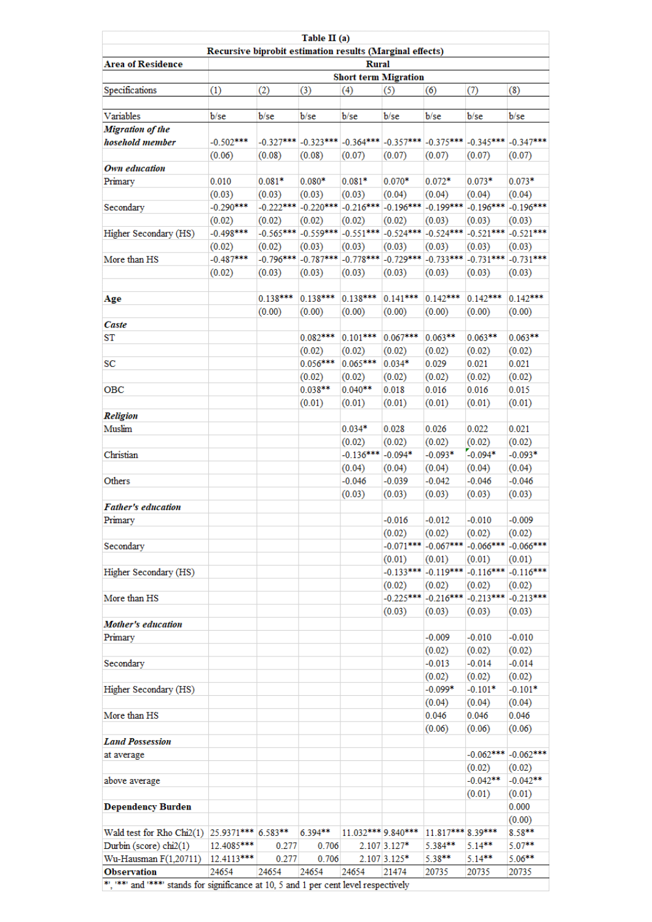|                                                                                     |                                                          |             | Table II (a)                                                     |                                    |              |                                                 |                       |                         |  |  |
|-------------------------------------------------------------------------------------|----------------------------------------------------------|-------------|------------------------------------------------------------------|------------------------------------|--------------|-------------------------------------------------|-----------------------|-------------------------|--|--|
|                                                                                     | Recursive biprobit estimation results (Marginal effects) |             |                                                                  |                                    |              |                                                 |                       |                         |  |  |
| <b>Area of Residence</b>                                                            |                                                          |             |                                                                  | <b>Rural</b>                       |              |                                                 |                       |                         |  |  |
|                                                                                     | (1)                                                      | (2)         | (3)                                                              | <b>Short term Migration</b><br>(4) | (5)          | (6)                                             |                       | (8)                     |  |  |
| Specifications                                                                      |                                                          |             |                                                                  |                                    |              |                                                 | (7)                   |                         |  |  |
| Variables                                                                           | b/se                                                     | b/se        | b/se                                                             | b/se                               | b/se         | b/se                                            | b/se                  | b/se                    |  |  |
| Migration of the                                                                    |                                                          |             |                                                                  |                                    |              |                                                 |                       |                         |  |  |
| hosehold member                                                                     | $-0.502***$                                              |             | -0.327***  -0.323***  -0.364***  -0.357***  -0.375***  -0.345*** |                                    |              |                                                 |                       | $-0.347***$             |  |  |
|                                                                                     | (0.06)                                                   | (0.08)      | (0.08)                                                           | (0.07)                             | (0.07)       | (0.07)                                          | (0.07)                | (0.07)                  |  |  |
| Own education                                                                       |                                                          |             |                                                                  |                                    |              |                                                 |                       |                         |  |  |
| Primary                                                                             | 0.010                                                    | $0.081*$    | $0.080*$                                                         | $0.081*$                           | $0.070*$     | $0.072*$                                        | $0.073*$              | $0.073*$                |  |  |
|                                                                                     | (0.03)                                                   | (0.03)      | (0.03)                                                           | (0.03)                             | (0.04)       | (0.04)                                          | (0.04)                | (0.04)                  |  |  |
| Secondary                                                                           | $-0.290***$                                              | $-0.222***$ |                                                                  | $-0.220***$ $-0.216***$            | $-0.196***$  | $-0.199***$                                     | $-0.196***$           | $-0.196***$             |  |  |
|                                                                                     | (0.02)                                                   | (0.02)      | (0.02)                                                           | (0.02)                             | (0.02)       | (0.03)                                          | (0.03)                | (0.03)                  |  |  |
| Higher Secondary (HS)                                                               | $-0.498***$                                              |             | $-0.565***$ $-0.559***$ $-0.551***$ $-0.524***$                  |                                    |              | $-0.524***$                                     | $-0.521***$           | $-0.521***$             |  |  |
|                                                                                     | (0.02)                                                   | (0.02)      | (0.03)                                                           | (0.03)                             | (0.03)       | (0.03)                                          | (0.03)                | (0.03)                  |  |  |
| More than HS                                                                        | $-0.487***$                                              | $-0.796***$ | $-0.787***$                                                      | $-0.778***$                        | $-0.729***$  | $-0.733***$                                     | $-0.731***$           | $-0.731***$             |  |  |
|                                                                                     | (0.02)                                                   | (0.03)      | (0.03)                                                           | (0.03)                             | (0.03)       | (0.03)                                          | (0.03)                | (0.03)                  |  |  |
|                                                                                     |                                                          | $0.138***$  | $0.138***$                                                       | $0.138***$                         | $0.141***$   | $0.142***$                                      | $0.142***$            | $0.142***$              |  |  |
| Age                                                                                 |                                                          |             |                                                                  | (0.00)                             | (0.00)       | (0.00)                                          |                       | (0.00)                  |  |  |
| Caste                                                                               |                                                          | (0.00)      | (0.00)                                                           |                                    |              |                                                 | (0.00)                |                         |  |  |
| ST                                                                                  |                                                          |             | $0.082***$                                                       | $0.101***$                         | $0.067***$   | $0.063***$                                      | $0.063***$            | $0.063***$              |  |  |
|                                                                                     |                                                          |             | (0.02)                                                           | (0.02)                             | (0.02)       | (0.02)                                          | (0.02)                | (0.02)                  |  |  |
| SC                                                                                  |                                                          |             | $0.056***$                                                       | $0.065***$                         | $0.034*$     | 0.029                                           | 0.021                 | 0.021                   |  |  |
|                                                                                     |                                                          |             | (0.02)                                                           | (0.02)                             | (0.02)       | (0.02)                                          | (0.02)                | (0.02)                  |  |  |
| OBC                                                                                 |                                                          |             | $0.038***$                                                       | $0.040**$                          | 0.018        | 0.016                                           | 0.016                 | 0.015                   |  |  |
|                                                                                     |                                                          |             | (0.01)                                                           | (0.01)                             | (0.01)       | (0.01)                                          | (0.01)                | (0.01)                  |  |  |
| <b>Religion</b>                                                                     |                                                          |             |                                                                  |                                    |              |                                                 |                       |                         |  |  |
| Muslim                                                                              |                                                          |             |                                                                  | $0.034*$                           | 0.028        | 0.026                                           | 0.022                 | 0.021                   |  |  |
|                                                                                     |                                                          |             |                                                                  | (0.02)                             | (0.02)       | (0.02)                                          | (0.02)                | (0.02)                  |  |  |
| Christian                                                                           |                                                          |             |                                                                  | $-0.136***$                        | $-0.094*$    | $-0.093*$                                       | $-0.094*$             | $-0.093*$               |  |  |
|                                                                                     |                                                          |             |                                                                  | (0.04)                             | (0.04)       | (0.04)                                          | (0.04)                | (0.04)                  |  |  |
| Others                                                                              |                                                          |             |                                                                  | $-0.046$                           | $-0.039$     | $-0.042$                                        | $-0.046$              | $-0.046$                |  |  |
|                                                                                     |                                                          |             |                                                                  | (0.03)                             | (0.03)       | (0.03)                                          | (0.03)                | (0.03)                  |  |  |
| <b>Father's education</b>                                                           |                                                          |             |                                                                  |                                    |              |                                                 |                       |                         |  |  |
| Primary                                                                             |                                                          |             |                                                                  |                                    | $-0.016$     | $-0.012$                                        | $-0.010$              | $-0.009$                |  |  |
|                                                                                     |                                                          |             |                                                                  |                                    | (0.02)       | (0.02)                                          | (0.02)                | (0.02)                  |  |  |
| Secondary                                                                           |                                                          |             |                                                                  |                                    |              | $-0.071***$ $-0.067***$ $-0.066***$             |                       | $-0.066***$             |  |  |
|                                                                                     |                                                          |             |                                                                  |                                    | (0.01)       | (0.01)                                          | (0.01)                | (0.01)                  |  |  |
| Higher Secondary (HS)                                                               |                                                          |             |                                                                  |                                    |              | $-0.133***$ $-0.119***$ $-0.116***$ $-0.116***$ |                       |                         |  |  |
|                                                                                     |                                                          |             |                                                                  |                                    | (0.02)       | (0.02)                                          | (0.02)                | (0.02)                  |  |  |
| More than HS                                                                        |                                                          |             |                                                                  |                                    |              | $-0.225***$ $-0.216***$ $-0.213***$             |                       | $-0.213***$             |  |  |
|                                                                                     |                                                          |             |                                                                  |                                    | (0.03)       | (0.03)                                          | (0.03)                | (0.03)                  |  |  |
| <b>Mother's education</b>                                                           |                                                          |             |                                                                  |                                    |              |                                                 |                       |                         |  |  |
| Primary                                                                             |                                                          |             |                                                                  |                                    |              | $-0.009$                                        | $-0.010$              | $-0.010$                |  |  |
|                                                                                     |                                                          |             |                                                                  |                                    |              | (0.02)                                          | (0.02)                | (0.02)                  |  |  |
| Secondary                                                                           |                                                          |             |                                                                  |                                    |              | $-0.013$                                        | $-0.014$              | $-0.014$                |  |  |
|                                                                                     |                                                          |             |                                                                  |                                    |              | (0.02)                                          | (0.02)                | (0.02)                  |  |  |
| Higher Secondary (HS)                                                               |                                                          |             |                                                                  |                                    |              | $-0.099*$                                       | $-0.101*$             | $-0.101*$               |  |  |
|                                                                                     |                                                          |             |                                                                  |                                    |              | (0.04)                                          | (0.04)                | (0.04)                  |  |  |
| More than HS                                                                        |                                                          |             |                                                                  |                                    |              | 0.046                                           | 0.046                 | 0.046                   |  |  |
|                                                                                     |                                                          |             |                                                                  |                                    |              | (0.06)                                          | (0.06)                | (0.06)                  |  |  |
| <b>Land Possession</b>                                                              |                                                          |             |                                                                  |                                    |              |                                                 |                       | $-0.062***$ $-0.062***$ |  |  |
| at average                                                                          |                                                          |             |                                                                  |                                    |              |                                                 |                       |                         |  |  |
| above average                                                                       |                                                          |             |                                                                  |                                    |              |                                                 | (0.02)<br>$-0.042***$ | (0.02)<br>$-0.042**$    |  |  |
|                                                                                     |                                                          |             |                                                                  |                                    |              |                                                 | (0.01)                | (0.01)                  |  |  |
| <b>Dependency Burden</b>                                                            |                                                          |             |                                                                  |                                    |              |                                                 |                       | 0.000                   |  |  |
|                                                                                     |                                                          |             |                                                                  |                                    |              |                                                 |                       | (0.00)                  |  |  |
| Wald test for Rho Chi2(1) 25.9371*** 6.583**                                        |                                                          |             | 6.394**                                                          | 11.032*** 9.840***                 |              | 11.817*** 8.39***                               |                       | 8.58**                  |  |  |
| Durbin (score) chi2(1)                                                              | 12.4085***                                               | 0.277       | 0.706                                                            |                                    | 2.107 3.127* | 5.384**                                         | 5.14**                | 5.07**                  |  |  |
| Wu-Hausman F(1,20711)                                                               | 12.4113***                                               | 0.277       | 0.706                                                            |                                    | 2.107 3.125* | 5.38**                                          | $5.14***$             | $5.06***$               |  |  |
| <b>Observation</b>                                                                  | 24654                                                    | 24654       | 24654                                                            | 24654                              | 21474        | 20735                                           | 20735                 | 20735                   |  |  |
| **, *** and **** stands for significance at 10, 5 and 1 per cent level respectively |                                                          |             |                                                                  |                                    |              |                                                 |                       |                         |  |  |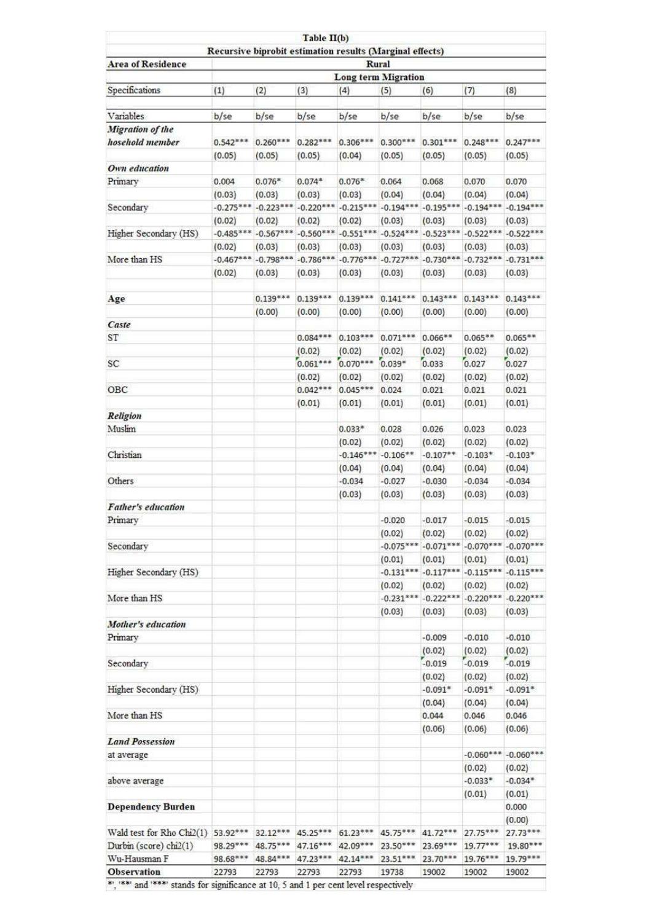| (1)      | (2)                                                            | (3)                                                                                                                  | (4)                                                                                                                                                                                                                                                 | (5)                                                                                                                                                                                                              | (6)                                                                                                                                                                                                                                                                    | (7)                                                                                                                                                                                                                                                                                                                                                                                     | (8)                                                                                                                                                                                                                                                                                                                                                                                                                                                                                                        |
|----------|----------------------------------------------------------------|----------------------------------------------------------------------------------------------------------------------|-----------------------------------------------------------------------------------------------------------------------------------------------------------------------------------------------------------------------------------------------------|------------------------------------------------------------------------------------------------------------------------------------------------------------------------------------------------------------------|------------------------------------------------------------------------------------------------------------------------------------------------------------------------------------------------------------------------------------------------------------------------|-----------------------------------------------------------------------------------------------------------------------------------------------------------------------------------------------------------------------------------------------------------------------------------------------------------------------------------------------------------------------------------------|------------------------------------------------------------------------------------------------------------------------------------------------------------------------------------------------------------------------------------------------------------------------------------------------------------------------------------------------------------------------------------------------------------------------------------------------------------------------------------------------------------|
|          |                                                                |                                                                                                                      |                                                                                                                                                                                                                                                     |                                                                                                                                                                                                                  |                                                                                                                                                                                                                                                                        |                                                                                                                                                                                                                                                                                                                                                                                         |                                                                                                                                                                                                                                                                                                                                                                                                                                                                                                            |
|          |                                                                |                                                                                                                      |                                                                                                                                                                                                                                                     |                                                                                                                                                                                                                  |                                                                                                                                                                                                                                                                        |                                                                                                                                                                                                                                                                                                                                                                                         | b/se                                                                                                                                                                                                                                                                                                                                                                                                                                                                                                       |
|          |                                                                |                                                                                                                      |                                                                                                                                                                                                                                                     |                                                                                                                                                                                                                  |                                                                                                                                                                                                                                                                        |                                                                                                                                                                                                                                                                                                                                                                                         | $0.247***$                                                                                                                                                                                                                                                                                                                                                                                                                                                                                                 |
|          |                                                                |                                                                                                                      |                                                                                                                                                                                                                                                     |                                                                                                                                                                                                                  |                                                                                                                                                                                                                                                                        |                                                                                                                                                                                                                                                                                                                                                                                         | (0.05)                                                                                                                                                                                                                                                                                                                                                                                                                                                                                                     |
|          |                                                                |                                                                                                                      |                                                                                                                                                                                                                                                     |                                                                                                                                                                                                                  |                                                                                                                                                                                                                                                                        |                                                                                                                                                                                                                                                                                                                                                                                         |                                                                                                                                                                                                                                                                                                                                                                                                                                                                                                            |
|          |                                                                |                                                                                                                      |                                                                                                                                                                                                                                                     |                                                                                                                                                                                                                  |                                                                                                                                                                                                                                                                        |                                                                                                                                                                                                                                                                                                                                                                                         | 0.070                                                                                                                                                                                                                                                                                                                                                                                                                                                                                                      |
|          |                                                                |                                                                                                                      |                                                                                                                                                                                                                                                     |                                                                                                                                                                                                                  |                                                                                                                                                                                                                                                                        |                                                                                                                                                                                                                                                                                                                                                                                         | (0.04)                                                                                                                                                                                                                                                                                                                                                                                                                                                                                                     |
|          |                                                                |                                                                                                                      |                                                                                                                                                                                                                                                     |                                                                                                                                                                                                                  |                                                                                                                                                                                                                                                                        |                                                                                                                                                                                                                                                                                                                                                                                         | $-0.194***$                                                                                                                                                                                                                                                                                                                                                                                                                                                                                                |
| (0.02)   | (0.02)                                                         | (0.02)                                                                                                               | (0.02)                                                                                                                                                                                                                                              | (0.03)                                                                                                                                                                                                           | (0.03)                                                                                                                                                                                                                                                                 | (0.03)                                                                                                                                                                                                                                                                                                                                                                                  | (0.03)                                                                                                                                                                                                                                                                                                                                                                                                                                                                                                     |
|          |                                                                |                                                                                                                      |                                                                                                                                                                                                                                                     |                                                                                                                                                                                                                  |                                                                                                                                                                                                                                                                        |                                                                                                                                                                                                                                                                                                                                                                                         | $-0.522***$                                                                                                                                                                                                                                                                                                                                                                                                                                                                                                |
| (0.02)   | (0.03)                                                         | (0.03)                                                                                                               | (0.03)                                                                                                                                                                                                                                              | (0.03)                                                                                                                                                                                                           | (0.03)                                                                                                                                                                                                                                                                 | (0.03)                                                                                                                                                                                                                                                                                                                                                                                  | (0.03)                                                                                                                                                                                                                                                                                                                                                                                                                                                                                                     |
|          |                                                                |                                                                                                                      |                                                                                                                                                                                                                                                     |                                                                                                                                                                                                                  |                                                                                                                                                                                                                                                                        |                                                                                                                                                                                                                                                                                                                                                                                         | $-0.731***$                                                                                                                                                                                                                                                                                                                                                                                                                                                                                                |
| (0.02)   | (0.03)                                                         | (0.03)                                                                                                               | (0.03)                                                                                                                                                                                                                                              | (0.03)                                                                                                                                                                                                           | (0.03)                                                                                                                                                                                                                                                                 | (0.03)                                                                                                                                                                                                                                                                                                                                                                                  | (0.03)                                                                                                                                                                                                                                                                                                                                                                                                                                                                                                     |
|          |                                                                |                                                                                                                      |                                                                                                                                                                                                                                                     |                                                                                                                                                                                                                  |                                                                                                                                                                                                                                                                        |                                                                                                                                                                                                                                                                                                                                                                                         | $0.143***$                                                                                                                                                                                                                                                                                                                                                                                                                                                                                                 |
|          |                                                                |                                                                                                                      |                                                                                                                                                                                                                                                     |                                                                                                                                                                                                                  |                                                                                                                                                                                                                                                                        |                                                                                                                                                                                                                                                                                                                                                                                         | (0.00)                                                                                                                                                                                                                                                                                                                                                                                                                                                                                                     |
|          |                                                                |                                                                                                                      |                                                                                                                                                                                                                                                     |                                                                                                                                                                                                                  |                                                                                                                                                                                                                                                                        |                                                                                                                                                                                                                                                                                                                                                                                         |                                                                                                                                                                                                                                                                                                                                                                                                                                                                                                            |
|          |                                                                |                                                                                                                      |                                                                                                                                                                                                                                                     |                                                                                                                                                                                                                  |                                                                                                                                                                                                                                                                        |                                                                                                                                                                                                                                                                                                                                                                                         | $0.065***$                                                                                                                                                                                                                                                                                                                                                                                                                                                                                                 |
|          |                                                                |                                                                                                                      |                                                                                                                                                                                                                                                     |                                                                                                                                                                                                                  |                                                                                                                                                                                                                                                                        |                                                                                                                                                                                                                                                                                                                                                                                         | (0.02)                                                                                                                                                                                                                                                                                                                                                                                                                                                                                                     |
|          |                                                                |                                                                                                                      |                                                                                                                                                                                                                                                     |                                                                                                                                                                                                                  |                                                                                                                                                                                                                                                                        |                                                                                                                                                                                                                                                                                                                                                                                         | 0.027                                                                                                                                                                                                                                                                                                                                                                                                                                                                                                      |
|          |                                                                |                                                                                                                      |                                                                                                                                                                                                                                                     |                                                                                                                                                                                                                  |                                                                                                                                                                                                                                                                        |                                                                                                                                                                                                                                                                                                                                                                                         | (0.02)                                                                                                                                                                                                                                                                                                                                                                                                                                                                                                     |
|          |                                                                |                                                                                                                      |                                                                                                                                                                                                                                                     |                                                                                                                                                                                                                  |                                                                                                                                                                                                                                                                        |                                                                                                                                                                                                                                                                                                                                                                                         | 0.021                                                                                                                                                                                                                                                                                                                                                                                                                                                                                                      |
|          |                                                                | (0.01)                                                                                                               | (0.01)                                                                                                                                                                                                                                              | (0.01)                                                                                                                                                                                                           | (0.01)                                                                                                                                                                                                                                                                 | (0.01)                                                                                                                                                                                                                                                                                                                                                                                  | (0.01)                                                                                                                                                                                                                                                                                                                                                                                                                                                                                                     |
|          |                                                                |                                                                                                                      |                                                                                                                                                                                                                                                     |                                                                                                                                                                                                                  |                                                                                                                                                                                                                                                                        |                                                                                                                                                                                                                                                                                                                                                                                         |                                                                                                                                                                                                                                                                                                                                                                                                                                                                                                            |
|          |                                                                |                                                                                                                      | $0.033*$                                                                                                                                                                                                                                            | 0.028                                                                                                                                                                                                            | 0.026                                                                                                                                                                                                                                                                  | 0.023                                                                                                                                                                                                                                                                                                                                                                                   | 0.023                                                                                                                                                                                                                                                                                                                                                                                                                                                                                                      |
|          |                                                                |                                                                                                                      | (0.02)                                                                                                                                                                                                                                              | (0.02)                                                                                                                                                                                                           | (0.02)                                                                                                                                                                                                                                                                 | (0.02)                                                                                                                                                                                                                                                                                                                                                                                  | (0.02)                                                                                                                                                                                                                                                                                                                                                                                                                                                                                                     |
|          |                                                                |                                                                                                                      |                                                                                                                                                                                                                                                     | $-0.106**$                                                                                                                                                                                                       | $-0.107**$                                                                                                                                                                                                                                                             | $-0.103*$                                                                                                                                                                                                                                                                                                                                                                               | $-0.103*$                                                                                                                                                                                                                                                                                                                                                                                                                                                                                                  |
|          |                                                                |                                                                                                                      | (0.04)                                                                                                                                                                                                                                              | (0.04)                                                                                                                                                                                                           | (0.04)                                                                                                                                                                                                                                                                 | (0.04)                                                                                                                                                                                                                                                                                                                                                                                  | (0.04)                                                                                                                                                                                                                                                                                                                                                                                                                                                                                                     |
|          |                                                                |                                                                                                                      | $-0.034$                                                                                                                                                                                                                                            | $-0.027$                                                                                                                                                                                                         | $-0.030$                                                                                                                                                                                                                                                               | $-0.034$                                                                                                                                                                                                                                                                                                                                                                                | $-0.034$                                                                                                                                                                                                                                                                                                                                                                                                                                                                                                   |
|          |                                                                |                                                                                                                      | (0.03)                                                                                                                                                                                                                                              | (0.03)                                                                                                                                                                                                           | (0.03)                                                                                                                                                                                                                                                                 | (0.03)                                                                                                                                                                                                                                                                                                                                                                                  | (0.03)                                                                                                                                                                                                                                                                                                                                                                                                                                                                                                     |
|          |                                                                |                                                                                                                      |                                                                                                                                                                                                                                                     |                                                                                                                                                                                                                  |                                                                                                                                                                                                                                                                        |                                                                                                                                                                                                                                                                                                                                                                                         |                                                                                                                                                                                                                                                                                                                                                                                                                                                                                                            |
|          |                                                                |                                                                                                                      |                                                                                                                                                                                                                                                     | $-0.020$                                                                                                                                                                                                         | $-0.017$                                                                                                                                                                                                                                                               | $-0.015$                                                                                                                                                                                                                                                                                                                                                                                | $-0.015$                                                                                                                                                                                                                                                                                                                                                                                                                                                                                                   |
|          |                                                                |                                                                                                                      |                                                                                                                                                                                                                                                     | (0.02)                                                                                                                                                                                                           | (0.02)                                                                                                                                                                                                                                                                 | (0.02)                                                                                                                                                                                                                                                                                                                                                                                  | (0.02)                                                                                                                                                                                                                                                                                                                                                                                                                                                                                                     |
|          |                                                                |                                                                                                                      |                                                                                                                                                                                                                                                     |                                                                                                                                                                                                                  |                                                                                                                                                                                                                                                                        |                                                                                                                                                                                                                                                                                                                                                                                         |                                                                                                                                                                                                                                                                                                                                                                                                                                                                                                            |
|          |                                                                |                                                                                                                      |                                                                                                                                                                                                                                                     |                                                                                                                                                                                                                  |                                                                                                                                                                                                                                                                        |                                                                                                                                                                                                                                                                                                                                                                                         | (0.01)                                                                                                                                                                                                                                                                                                                                                                                                                                                                                                     |
|          |                                                                |                                                                                                                      |                                                                                                                                                                                                                                                     |                                                                                                                                                                                                                  |                                                                                                                                                                                                                                                                        |                                                                                                                                                                                                                                                                                                                                                                                         |                                                                                                                                                                                                                                                                                                                                                                                                                                                                                                            |
|          |                                                                |                                                                                                                      |                                                                                                                                                                                                                                                     |                                                                                                                                                                                                                  |                                                                                                                                                                                                                                                                        |                                                                                                                                                                                                                                                                                                                                                                                         | (0.02)                                                                                                                                                                                                                                                                                                                                                                                                                                                                                                     |
|          |                                                                |                                                                                                                      |                                                                                                                                                                                                                                                     |                                                                                                                                                                                                                  |                                                                                                                                                                                                                                                                        |                                                                                                                                                                                                                                                                                                                                                                                         |                                                                                                                                                                                                                                                                                                                                                                                                                                                                                                            |
|          |                                                                |                                                                                                                      |                                                                                                                                                                                                                                                     |                                                                                                                                                                                                                  |                                                                                                                                                                                                                                                                        |                                                                                                                                                                                                                                                                                                                                                                                         | (0.03)                                                                                                                                                                                                                                                                                                                                                                                                                                                                                                     |
|          |                                                                |                                                                                                                      |                                                                                                                                                                                                                                                     |                                                                                                                                                                                                                  |                                                                                                                                                                                                                                                                        |                                                                                                                                                                                                                                                                                                                                                                                         | $-0.010$                                                                                                                                                                                                                                                                                                                                                                                                                                                                                                   |
|          |                                                                |                                                                                                                      |                                                                                                                                                                                                                                                     |                                                                                                                                                                                                                  |                                                                                                                                                                                                                                                                        |                                                                                                                                                                                                                                                                                                                                                                                         | (0.02)                                                                                                                                                                                                                                                                                                                                                                                                                                                                                                     |
|          |                                                                |                                                                                                                      |                                                                                                                                                                                                                                                     |                                                                                                                                                                                                                  |                                                                                                                                                                                                                                                                        |                                                                                                                                                                                                                                                                                                                                                                                         | $-0.019$                                                                                                                                                                                                                                                                                                                                                                                                                                                                                                   |
|          |                                                                |                                                                                                                      |                                                                                                                                                                                                                                                     |                                                                                                                                                                                                                  |                                                                                                                                                                                                                                                                        |                                                                                                                                                                                                                                                                                                                                                                                         | (0.02)                                                                                                                                                                                                                                                                                                                                                                                                                                                                                                     |
|          |                                                                |                                                                                                                      |                                                                                                                                                                                                                                                     |                                                                                                                                                                                                                  | $-0.091*$                                                                                                                                                                                                                                                              |                                                                                                                                                                                                                                                                                                                                                                                         | $-0.091*$                                                                                                                                                                                                                                                                                                                                                                                                                                                                                                  |
|          |                                                                |                                                                                                                      |                                                                                                                                                                                                                                                     |                                                                                                                                                                                                                  |                                                                                                                                                                                                                                                                        |                                                                                                                                                                                                                                                                                                                                                                                         | (0.04)                                                                                                                                                                                                                                                                                                                                                                                                                                                                                                     |
|          |                                                                |                                                                                                                      |                                                                                                                                                                                                                                                     |                                                                                                                                                                                                                  | 0.044                                                                                                                                                                                                                                                                  | 0.046                                                                                                                                                                                                                                                                                                                                                                                   | 0.046                                                                                                                                                                                                                                                                                                                                                                                                                                                                                                      |
|          |                                                                |                                                                                                                      |                                                                                                                                                                                                                                                     |                                                                                                                                                                                                                  | (0.06)                                                                                                                                                                                                                                                                 | (0.06)                                                                                                                                                                                                                                                                                                                                                                                  | (0.06)                                                                                                                                                                                                                                                                                                                                                                                                                                                                                                     |
|          |                                                                |                                                                                                                      |                                                                                                                                                                                                                                                     |                                                                                                                                                                                                                  |                                                                                                                                                                                                                                                                        |                                                                                                                                                                                                                                                                                                                                                                                         |                                                                                                                                                                                                                                                                                                                                                                                                                                                                                                            |
|          |                                                                |                                                                                                                      |                                                                                                                                                                                                                                                     |                                                                                                                                                                                                                  |                                                                                                                                                                                                                                                                        |                                                                                                                                                                                                                                                                                                                                                                                         | $-0.060***$ $-0.060***$                                                                                                                                                                                                                                                                                                                                                                                                                                                                                    |
|          |                                                                |                                                                                                                      |                                                                                                                                                                                                                                                     |                                                                                                                                                                                                                  |                                                                                                                                                                                                                                                                        | (0.02)                                                                                                                                                                                                                                                                                                                                                                                  | (0.02)                                                                                                                                                                                                                                                                                                                                                                                                                                                                                                     |
|          |                                                                |                                                                                                                      |                                                                                                                                                                                                                                                     |                                                                                                                                                                                                                  |                                                                                                                                                                                                                                                                        | $-0.033*$                                                                                                                                                                                                                                                                                                                                                                               | $-0.034*$                                                                                                                                                                                                                                                                                                                                                                                                                                                                                                  |
|          |                                                                |                                                                                                                      |                                                                                                                                                                                                                                                     |                                                                                                                                                                                                                  |                                                                                                                                                                                                                                                                        | (0.01)                                                                                                                                                                                                                                                                                                                                                                                  | (0.01)                                                                                                                                                                                                                                                                                                                                                                                                                                                                                                     |
|          |                                                                |                                                                                                                      |                                                                                                                                                                                                                                                     |                                                                                                                                                                                                                  |                                                                                                                                                                                                                                                                        |                                                                                                                                                                                                                                                                                                                                                                                         | 0.000                                                                                                                                                                                                                                                                                                                                                                                                                                                                                                      |
|          |                                                                |                                                                                                                      |                                                                                                                                                                                                                                                     |                                                                                                                                                                                                                  |                                                                                                                                                                                                                                                                        |                                                                                                                                                                                                                                                                                                                                                                                         | (0.00)                                                                                                                                                                                                                                                                                                                                                                                                                                                                                                     |
|          |                                                                |                                                                                                                      |                                                                                                                                                                                                                                                     |                                                                                                                                                                                                                  |                                                                                                                                                                                                                                                                        |                                                                                                                                                                                                                                                                                                                                                                                         | 27.73***                                                                                                                                                                                                                                                                                                                                                                                                                                                                                                   |
| 98.68*** | 48.84*** 47.23***                                              |                                                                                                                      | 42.14***                                                                                                                                                                                                                                            | $23.51***$                                                                                                                                                                                                       | 23.70***                                                                                                                                                                                                                                                               | $19.76***$                                                                                                                                                                                                                                                                                                                                                                              | $19.80***$<br>$19.79***$                                                                                                                                                                                                                                                                                                                                                                                                                                                                                   |
|          |                                                                |                                                                                                                      |                                                                                                                                                                                                                                                     |                                                                                                                                                                                                                  |                                                                                                                                                                                                                                                                        |                                                                                                                                                                                                                                                                                                                                                                                         |                                                                                                                                                                                                                                                                                                                                                                                                                                                                                                            |
|          | b/se<br>$0.542***$<br>(0.05)<br>0.004<br>(0.03)<br>$-0.275***$ | b/se<br>$0.260***$<br>(0.05)<br>$0.076*$<br>(0.03)<br>$-0.485***$<br>$-0.467***$<br>$0.139***$<br>(0.00)<br>98.29*** | b/se<br>$0.282***$<br>(0.05)<br>$0.074*$<br>(0.03)<br>$-0.223***$<br>$-0.798***$<br>$0.139***$<br>(0.00)<br>$0.084***$<br>(0.02)<br>$0.061***$<br>(0.02)<br>$0.042***$<br>Wald test for Rho Chi2(1) 53.92*** 32.12*** 45.25***<br>48.75*** 47.16*** | Table II(b)<br>b/se<br>$0.306***$<br>(0.04)<br>$0.076*$<br>(0.03)<br>$-0.220***$<br>$-0.567***$ $-0.560***$<br>$-0.786***$<br>$0.139***$<br>(0.00)<br>$0.103***$<br>(0.02)<br>$0.070***$<br>(0.02)<br>$0.045***$ | <b>Rural</b><br>b/se<br>$0.300***$<br>(0.05)<br>0.064<br>(0.04)<br>$-0.215***$<br>$-0.776***$<br>$0.141***$<br>(0.00)<br>$0.071***$<br>(0.02)<br>$0.039*$<br>(0.02)<br>0.024<br>$-0.146***$<br>(0.01)<br>(0.02)<br>(0.03)<br>61.23*** 45.75***<br>42.09***<br>23.50*** | Recursive biprobit estimation results (Marginal effects)<br><b>Long term Migration</b><br>b/se<br>$0.301***$<br>(0.05)<br>0.068<br>(0.04)<br>$-0.194***$<br>$-0.551***-0.524***$<br>$-0.727***$<br>$0.143***$<br>(0.00)<br>$0.066***$<br>(0.02)<br>0.033<br>(0.02)<br>0.021<br>(0.01)<br>(0.02)<br>(0.03)<br>$-0.009$<br>(0.02)<br>$-0.019$<br>(0.02)<br>(0.04)<br>41.72***<br>23.69*** | b/se<br>$0.248***$<br>(0.05)<br>0.070<br>(0.04)<br>$-0.194***$<br>$-0.195***$<br>$-0.523***$<br>$-0.522***$<br>$-0.730***$<br>$-0.732***$<br>$0.143***$<br>(0.00)<br>$0.065***$<br>(0.02)<br>0.027<br>(0.02)<br>0.021<br>$-0.075***$ $-0.071***$ $-0.070***$ $-0.070***$<br>(0.01)<br>$-0.131***$ $-0.117***$ $-0.115***$ $-0.115***$<br>(0.02)<br>$-0.231***$ $-0.222***$<br>$-0.220*** -0.220***$<br>(0.03)<br>$-0.010$<br>(0.02)<br>$-0.019$<br>(0.02)<br>$-0.091*$<br>(0.04)<br>27.75***<br>$19.77***$ |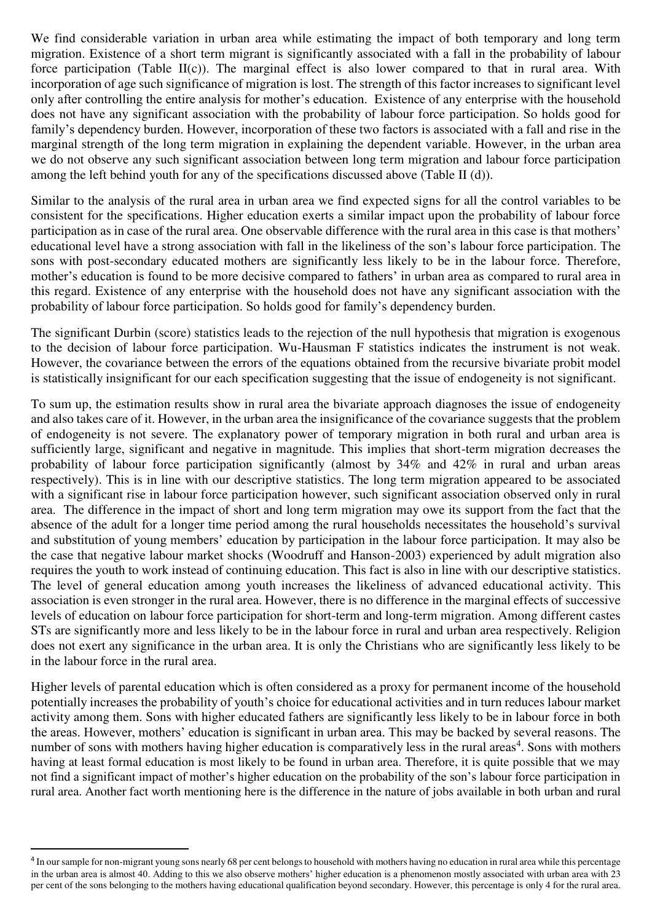We find considerable variation in urban area while estimating the impact of both temporary and long term migration. Existence of a short term migrant is significantly associated with a fall in the probability of labour force participation (Table II(c)). The marginal effect is also lower compared to that in rural area. With incorporation of age such significance of migration is lost. The strength of this factor increases to significant level only after controlling the entire analysis for mother's education. Existence of any enterprise with the household does not have any significant association with the probability of labour force participation. So holds good for family's dependency burden. However, incorporation of these two factors is associated with a fall and rise in the marginal strength of the long term migration in explaining the dependent variable. However, in the urban area we do not observe any such significant association between long term migration and labour force participation among the left behind youth for any of the specifications discussed above (Table II (d)).

Similar to the analysis of the rural area in urban area we find expected signs for all the control variables to be consistent for the specifications. Higher education exerts a similar impact upon the probability of labour force participation as in case of the rural area. One observable difference with the rural area in this case is that mothers' educational level have a strong association with fall in the likeliness of the son's labour force participation. The sons with post-secondary educated mothers are significantly less likely to be in the labour force. Therefore, mother's education is found to be more decisive compared to fathers' in urban area as compared to rural area in this regard. Existence of any enterprise with the household does not have any significant association with the probability of labour force participation. So holds good for family's dependency burden.

The significant Durbin (score) statistics leads to the rejection of the null hypothesis that migration is exogenous to the decision of labour force participation. Wu-Hausman F statistics indicates the instrument is not weak. However, the covariance between the errors of the equations obtained from the recursive bivariate probit model is statistically insignificant for our each specification suggesting that the issue of endogeneity is not significant.

To sum up, the estimation results show in rural area the bivariate approach diagnoses the issue of endogeneity and also takes care of it. However, in the urban area the insignificance of the covariance suggests that the problem of endogeneity is not severe. The explanatory power of temporary migration in both rural and urban area is sufficiently large, significant and negative in magnitude. This implies that short-term migration decreases the probability of labour force participation significantly (almost by 34% and 42% in rural and urban areas respectively). This is in line with our descriptive statistics. The long term migration appeared to be associated with a significant rise in labour force participation however, such significant association observed only in rural area. The difference in the impact of short and long term migration may owe its support from the fact that the absence of the adult for a longer time period among the rural households necessitates the household's survival and substitution of young members' education by participation in the labour force participation. It may also be the case that negative labour market shocks (Woodruff and Hanson-2003) experienced by adult migration also requires the youth to work instead of continuing education. This fact is also in line with our descriptive statistics. The level of general education among youth increases the likeliness of advanced educational activity. This association is even stronger in the rural area. However, there is no difference in the marginal effects of successive levels of education on labour force participation for short-term and long-term migration. Among different castes STs are significantly more and less likely to be in the labour force in rural and urban area respectively. Religion does not exert any significance in the urban area. It is only the Christians who are significantly less likely to be in the labour force in the rural area.

Higher levels of parental education which is often considered as a proxy for permanent income of the household potentially increases the probability of youth's choice for educational activities and in turn reduces labour market activity among them. Sons with higher educated fathers are significantly less likely to be in labour force in both the areas. However, mothers' education is significant in urban area. This may be backed by several reasons. The number of sons with mothers having higher education is comparatively less in the rural areas<sup>4</sup>. Sons with mothers having at least formal education is most likely to be found in urban area. Therefore, it is quite possible that we may not find a significant impact of mother's higher education on the probability of the son's labour force participation in rural area. Another fact worth mentioning here is the difference in the nature of jobs available in both urban and rural

 $\overline{a}$ 

<sup>&</sup>lt;sup>4</sup> In our sample for non-migrant young sons nearly 68 per cent belongs to household with mothers having no education in rural area while this percentage in the urban area is almost 40. Adding to this we also observe mothers' higher education is a phenomenon mostly associated with urban area with 23 per cent of the sons belonging to the mothers having educational qualification beyond secondary. However, this percentage is only 4 for the rural area.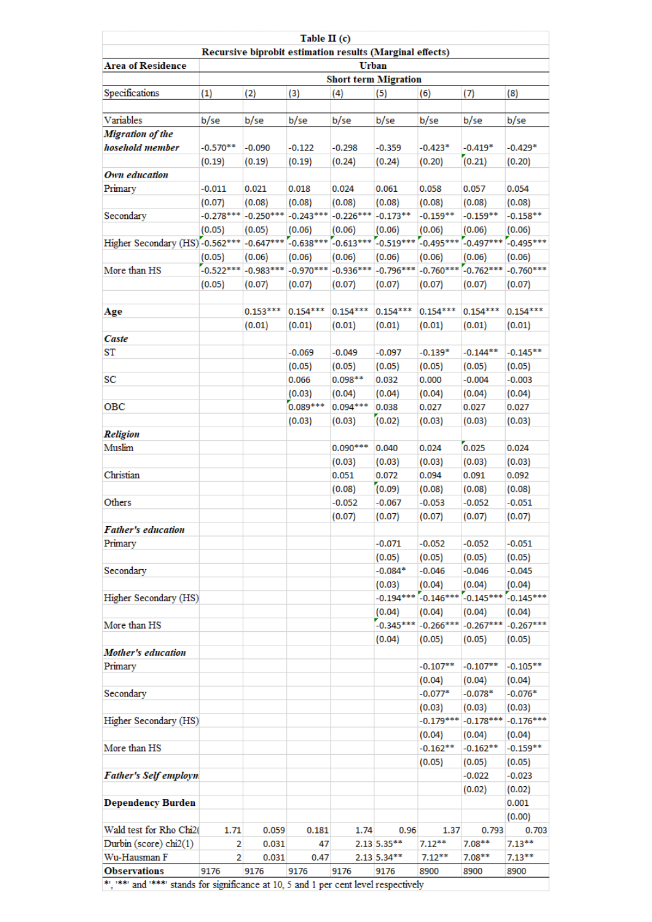|                                                                                       | Table II (c)                |             |                     |                      |                   |                 |                                     |                    |  |
|---------------------------------------------------------------------------------------|-----------------------------|-------------|---------------------|----------------------|-------------------|-----------------|-------------------------------------|--------------------|--|
| Recursive biprobit estimation results (Marginal effects)                              |                             |             |                     |                      |                   |                 |                                     |                    |  |
| <b>Area of Residence</b>                                                              | <b>Urban</b>                |             |                     |                      |                   |                 |                                     |                    |  |
|                                                                                       | <b>Short term Migration</b> |             |                     |                      |                   |                 |                                     |                    |  |
| Specifications                                                                        | (1)                         | (2)         | (3)                 | (4)                  | (5)               | (6)             | (7)                                 | (8)                |  |
| Variables                                                                             | b/se                        | b/se        | b/se                | b/se                 | b/se              | b/se            | b/se                                | b/se               |  |
| <b>Migration of the</b>                                                               |                             |             |                     |                      |                   |                 |                                     |                    |  |
| hosehold member                                                                       | $-0.570**$                  | $-0.090$    | $-0.122$            | $-0.298$             | $-0.359$          | $-0.423*$       | $-0.419*$                           | $-0.429*$          |  |
|                                                                                       | (0.19)                      | (0.19)      | (0.19)              | (0.24)               | (0.24)            | (0.20)          | (0.21)                              | (0.20)             |  |
| Own education                                                                         |                             |             |                     |                      |                   |                 |                                     |                    |  |
| Primary                                                                               | $-0.011$                    | 0.021       | 0.018               | 0.024                | 0.061             | 0.058           | 0.057                               | 0.054              |  |
|                                                                                       | (0.07)                      | (0.08)      | (0.08)              | (0.08)               | (0.08)            | (0.08)          | (0.08)                              | (0.08)             |  |
| Secondary                                                                             | $-0.278***$                 | $-0.250***$ | $-0.243***$         | $-0.226***$          | $-0.173**$        | $-0.159**$      | $-0.159***$                         | $-0.158**$         |  |
|                                                                                       | (0.05)                      | (0.05)      | (0.06)              | (0.06)               | (0.06)            | (0.06)          | (0.06)                              | (0.06)             |  |
| Higher Secondary (HS)-0.562 ***                                                       |                             | $-0.647***$ | $-0.638***$         | $-0.613***$          | $-0.519***$       | $-0.495***$     | $-0.497***$                         | $-0.495***$        |  |
|                                                                                       | (0.05)                      | (0.06)      | (0.06)              | (0.06)               | (0.06)            | (0.06)          | (0.06)                              | (0.06)             |  |
| More than HS                                                                          | $-0.522***$                 | $-0.983***$ | $-0.970***$         | $-0.936***$          | $-0.796***$       | $-0.760***$     | $-0.762***$                         | $-0.760***$        |  |
|                                                                                       | (0.05)                      | (0.07)      | (0.07)              | (0.07)               | (0.07)            | (0.07)          | (0.07)                              | (0.07)             |  |
|                                                                                       |                             |             |                     |                      |                   |                 |                                     |                    |  |
| Age                                                                                   |                             | $0.153***$  | $0.154***$          | $0.154***$           | $0.154***$        | $0.154***$      | $0.154***$                          | $0.154***$         |  |
|                                                                                       |                             | (0.01)      | (0.01)              | (0.01)               | (0.01)            | (0.01)          | (0.01)                              | (0.01)             |  |
| Caste<br>ST                                                                           |                             |             | $-0.069$            | $-0.049$             | $-0.097$          | $-0.139*$       | -0.144**                            | $-0.145**$         |  |
|                                                                                       |                             |             |                     |                      |                   |                 |                                     |                    |  |
| SC                                                                                    |                             |             | (0.05)<br>0.066     | (0.05)<br>$0.098**$  | (0.05)<br>0.032   | (0.05)<br>0.000 | (0.05)<br>$-0.004$                  | (0.05)<br>$-0.003$ |  |
|                                                                                       |                             |             |                     |                      | (0.04)            |                 |                                     |                    |  |
| OBC                                                                                   |                             |             | (0.03)<br>0.089 *** | (0.04)<br>$0.094***$ | 0.038             | (0.04)<br>0.027 | (0.04)<br>0.027                     | (0.04)<br>0.027    |  |
|                                                                                       |                             |             |                     |                      | (0.02)            | (0.03)          | (0.03)                              |                    |  |
| Religion                                                                              |                             |             | (0.03)              | (0.03)               |                   |                 |                                     | (0.03)             |  |
| Muslim                                                                                |                             |             |                     | $0.090***$           | 0.040             | 0.024           | 0.025                               | 0.024              |  |
|                                                                                       |                             |             |                     | (0.03)               | (0.03)            | (0.03)          | (0.03)                              | (0.03)             |  |
| Christian                                                                             |                             |             |                     | 0.051                | 0.072             | 0.094           | 0.091                               | 0.092              |  |
|                                                                                       |                             |             |                     | (0.08)               | (0.09)            | (0.08)          | (0.08)                              | (0.08)             |  |
| Others                                                                                |                             |             |                     | $-0.052$             | $-0.067$          | $-0.053$        | $-0.052$                            | $-0.051$           |  |
|                                                                                       |                             |             |                     | (0.07)               | (0.07)            | (0.07)          | (0.07)                              | (0.07)             |  |
| <b>Father's education</b>                                                             |                             |             |                     |                      |                   |                 |                                     |                    |  |
| Primary                                                                               |                             |             |                     |                      | $-0.071$          | $-0.052$        | $-0.052$                            | $-0.051$           |  |
|                                                                                       |                             |             |                     |                      | (0.05)            | (0.05)          | (0.05)                              | (0.05)             |  |
| Secondary                                                                             |                             |             |                     |                      | $-0.084*$         | $-0.046$        | $-0.046$                            | $-0.045$           |  |
|                                                                                       |                             |             |                     |                      | (0.03)            | (0.04)          | (0.04)                              | (0.04)             |  |
| Higher Secondary (HS)                                                                 |                             |             |                     |                      |                   |                 | $-0.194***$ $-0.146***$ $-0.145***$ | $-0.145***$        |  |
|                                                                                       |                             |             |                     |                      | (0.04)            | (0.04)          | (0.04)                              | (0.04)             |  |
| More than HS                                                                          |                             |             |                     |                      | $-0.345***$       | $-0.266***$     | $-0.267***$                         | $-0.267***$        |  |
|                                                                                       |                             |             |                     |                      | (0.04)            | (0.05)          | (0.05)                              | (0.05)             |  |
| <b>Mother's education</b>                                                             |                             |             |                     |                      |                   |                 |                                     |                    |  |
| Primary                                                                               |                             |             |                     |                      |                   | $-0.107**$      | $-0.107**$                          | $-0.105***$        |  |
|                                                                                       |                             |             |                     |                      |                   | (0.04)          | (0.04)                              | (0.04)             |  |
| Secondary                                                                             |                             |             |                     |                      |                   | $-0.077*$       | $-0.078*$                           | $-0.076*$          |  |
|                                                                                       |                             |             |                     |                      |                   | (0.03)          | (0.03)                              | (0.03)             |  |
| Higher Secondary (HS)                                                                 |                             |             |                     |                      |                   | $-0.179***$     | $-0.178***$                         | $-0.176***$        |  |
|                                                                                       |                             |             |                     |                      |                   | (0.04)          | (0.04)                              | (0.04)             |  |
| More than HS                                                                          |                             |             |                     |                      |                   | $-0.162**$      | $-0.162**$                          | $-0.159**$         |  |
|                                                                                       |                             |             |                     |                      |                   | (0.05)          | (0.05)                              | (0.05)             |  |
| <b>Father's Self employn</b>                                                          |                             |             |                     |                      |                   |                 | $-0.022$                            | $-0.023$           |  |
|                                                                                       |                             |             |                     |                      |                   |                 | (0.02)                              | (0.02)             |  |
| <b>Dependency Burden</b>                                                              |                             |             |                     |                      |                   |                 |                                     | 0.001              |  |
|                                                                                       |                             |             |                     |                      |                   |                 |                                     | (0.00)             |  |
| Wald test for Rho Chi2(                                                               | 1.71                        | 0.059       | 0.181               | 1.74                 | 0.96              | 1.37            | 0.793                               | 0.703              |  |
| Durbin (score) chi2(1)                                                                | 2                           | 0.031       | 47                  |                      | $2.13 \, 5.35***$ | $7.12***$       | $7.08**$                            | $7.13**$           |  |
| Wu-Hausman F                                                                          | $\overline{2}$              | 0.031       | 0.47                |                      | $2.13$ 5.34**     | $7.12***$       | $7.08**$                            | $7.13***$          |  |
| <b>Observations</b>                                                                   | 9176                        | 9176        | 9176                | 9176                 | 9176              | 8900            | 8900                                | 8900               |  |
| **, '**' and '***' stands for significance at 10, 5 and 1 per cent level respectively |                             |             |                     |                      |                   |                 |                                     |                    |  |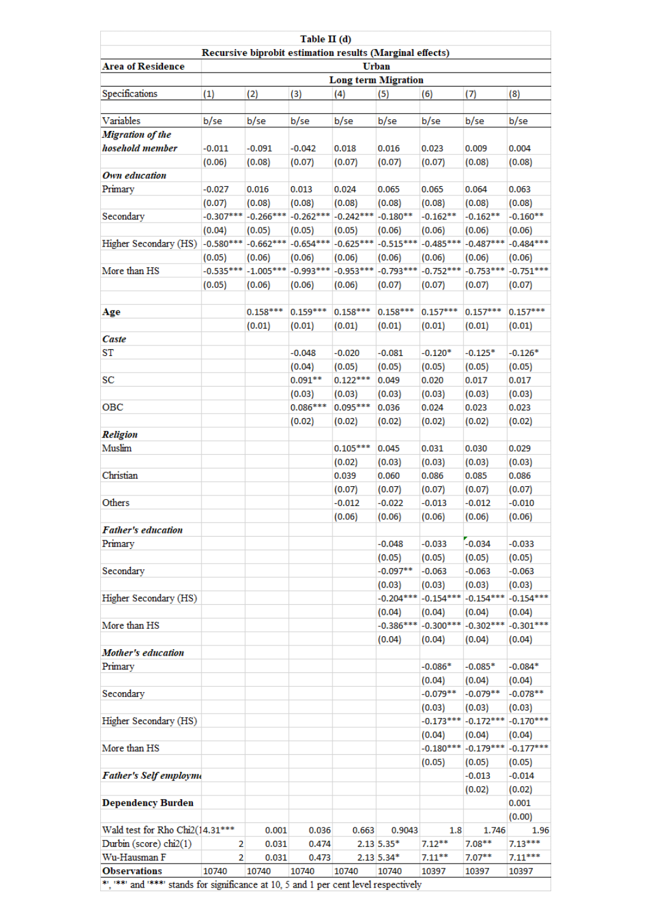|                                                                                       |                                                          |             | Table II (d) |             |              |                         |             |             |  |  |
|---------------------------------------------------------------------------------------|----------------------------------------------------------|-------------|--------------|-------------|--------------|-------------------------|-------------|-------------|--|--|
|                                                                                       | Recursive biprobit estimation results (Marginal effects) |             |              |             |              |                         |             |             |  |  |
| <b>Area of Residence</b>                                                              | <b>Urban</b><br><b>Long term Migration</b>               |             |              |             |              |                         |             |             |  |  |
| Specifications                                                                        | (1)                                                      | (2)         | (3)          | (4)         | (5)          | (6)                     | (7)         | (8)         |  |  |
|                                                                                       |                                                          |             |              |             |              |                         |             |             |  |  |
| Variables                                                                             | b/se                                                     | b/se        | b/se         | b/se        | b/se         | b/se                    | b/se        | b/se        |  |  |
| <b>Migration of the</b>                                                               |                                                          |             |              |             |              |                         |             |             |  |  |
| hosehold member                                                                       | $-0.011$                                                 | $-0.091$    | $-0.042$     | 0.018       | 0.016        | 0.023                   | 0.009       | 0.004       |  |  |
|                                                                                       | (0.06)                                                   | (0.08)      | (0.07)       | (0.07)      | (0.07)       | (0.07)                  | (0.08)      | (0.08)      |  |  |
| Own education                                                                         |                                                          |             |              |             |              |                         |             |             |  |  |
| Primary                                                                               | $-0.027$                                                 | 0.016       | 0.013        | 0.024       | 0.065        | 0.065                   | 0.064       | 0.063       |  |  |
|                                                                                       | (0.07)                                                   | (0.08)      | (0.08)       | (0.08)      | (0.08)       | (0.08)                  | (0.08)      | (0.08)      |  |  |
| Secondary                                                                             | $-0.307***$                                              | $-0.266***$ | $-0.262***$  | $-0.242***$ | $-0.180**$   | $-0.162**$              | $-0.162**$  | $-0.160**$  |  |  |
|                                                                                       | (0.04)                                                   | (0.05)      | (0.05)       | (0.05)      | (0.06)       | (0.06)                  | (0.06)      | (0.06)      |  |  |
| Higher Secondary (HS)                                                                 | $-0.580***$                                              | $-0.662***$ | $-0.654***$  | $-0.625***$ | $-0.515***$  | $-0.485***$             | $-0.487***$ | $-0.484***$ |  |  |
|                                                                                       | (0.05)                                                   | (0.06)      | (0.06)       | (0.06)      | (0.06)       | (0.06)                  | (0.06)      | (0.06)      |  |  |
| More than HS                                                                          | $-0.535***$                                              | $-1.005***$ | $-0.993***$  | $-0.953***$ | $-0.793***$  | $-0.752***$             | $-0.753***$ | $-0.751***$ |  |  |
|                                                                                       | (0.05)                                                   | (0.06)      | (0.06)       | (0.06)      | (0.07)       | (0.07)                  | (0.07)      | (0.07)      |  |  |
|                                                                                       |                                                          |             |              |             |              |                         |             |             |  |  |
| Age                                                                                   |                                                          | $0.158***$  | $0.159***$   | $0.158***$  | $0.158***$   | $0.157***$              | $0.157***$  | $0.157***$  |  |  |
|                                                                                       |                                                          | (0.01)      | (0.01)       | (0.01)      | (0.01)       | (0.01)                  | (0.01)      | (0.01)      |  |  |
| Caste                                                                                 |                                                          |             |              |             |              |                         |             |             |  |  |
| ST                                                                                    |                                                          |             | $-0.048$     | $-0.020$    | $-0.081$     | $-0.120*$               | $-0.125*$   | $-0.126*$   |  |  |
|                                                                                       |                                                          |             | (0.04)       | (0.05)      | (0.05)       | (0.05)                  | (0.05)      | (0.05)      |  |  |
| SC                                                                                    |                                                          |             | $0.091**$    | $0.122***$  | 0.049        | 0.020                   | 0.017       | 0.017       |  |  |
|                                                                                       |                                                          |             | (0.03)       | (0.03)      | (0.03)       | (0.03)                  | (0.03)      | (0.03)      |  |  |
| OBC                                                                                   |                                                          |             | $0.086***$   | $0.095***$  | 0.036        | 0.024                   | 0.023       | 0.023       |  |  |
|                                                                                       |                                                          |             | (0.02)       | (0.02)      | (0.02)       | (0.02)                  | (0.02)      | (0.02)      |  |  |
| Religion                                                                              |                                                          |             |              |             |              |                         |             |             |  |  |
| Muslim                                                                                |                                                          |             |              | $0.105***$  | 0.045        | 0.031                   | 0.030       | 0.029       |  |  |
|                                                                                       |                                                          |             |              | (0.02)      | (0.03)       | (0.03)                  | (0.03)      | (0.03)      |  |  |
| Christian                                                                             |                                                          |             |              | 0.039       | 0.060        | 0.086                   | 0.085       | 0.086       |  |  |
|                                                                                       |                                                          |             |              | (0.07)      | (0.07)       | (0.07)                  | (0.07)      | (0.07)      |  |  |
| Others                                                                                |                                                          |             |              | $-0.012$    | $-0.022$     | $-0.013$                | $-0.012$    | $-0.010$    |  |  |
|                                                                                       |                                                          |             |              | (0.06)      | (0.06)       | (0.06)                  | (0.06)      | (0.06)      |  |  |
| <b>Father's education</b>                                                             |                                                          |             |              |             |              |                         |             |             |  |  |
| Primary                                                                               |                                                          |             |              |             | $-0.048$     | $-0.033$                | $-0.034$    | $-0.033$    |  |  |
|                                                                                       |                                                          |             |              |             | (0.05)       | (0.05)                  | (0.05)      | (0.05)      |  |  |
| Secondary                                                                             |                                                          |             |              |             | $-0.097**$   | $-0.063$                | $-0.063$    | $-0.063$    |  |  |
|                                                                                       |                                                          |             |              |             | (0.03)       | (0.03)                  | (0.03)      | (0.03)      |  |  |
| Higher Secondary (HS)                                                                 |                                                          |             |              |             |              | $-0.204***$ $-0.154***$ | $-0.154***$ | $-0.154***$ |  |  |
|                                                                                       |                                                          |             |              |             | (0.04)       | (0.04)                  | (0.04)      | (0.04)      |  |  |
| More than HS                                                                          |                                                          |             |              |             |              | $-0.386***$ $-0.300***$ | $-0.302***$ | $-0.301***$ |  |  |
|                                                                                       |                                                          |             |              |             | (0.04)       | (0.04)                  | (0.04)      | (0.04)      |  |  |
| <b>Mother's education</b>                                                             |                                                          |             |              |             |              |                         |             |             |  |  |
| Primary                                                                               |                                                          |             |              |             |              | $-0.086*$               | $-0.085*$   | $-0.084*$   |  |  |
|                                                                                       |                                                          |             |              |             |              | (0.04)                  | (0.04)      | (0.04)      |  |  |
| Secondary                                                                             |                                                          |             |              |             |              | $-0.079**$              | $-0.079**$  | $-0.078**$  |  |  |
|                                                                                       |                                                          |             |              |             |              | (0.03)                  | (0.03)      | (0.03)      |  |  |
| Higher Secondary (HS)                                                                 |                                                          |             |              |             |              | $-0.173***$             | $-0.172***$ | $-0.170***$ |  |  |
|                                                                                       |                                                          |             |              |             |              | (0.04)                  | (0.04)      | (0.04)      |  |  |
| More than HS                                                                          |                                                          |             |              |             |              | $-0.180***$             | $-0.179***$ | $-0.177***$ |  |  |
|                                                                                       |                                                          |             |              |             |              | (0.05)                  | (0.05)      | (0.05)      |  |  |
| <b>Father's Self employme</b>                                                         |                                                          |             |              |             |              |                         | $-0.013$    | $-0.014$    |  |  |
|                                                                                       |                                                          |             |              |             |              |                         | (0.02)      | (0.02)      |  |  |
| <b>Dependency Burden</b>                                                              |                                                          |             |              |             |              |                         |             | 0.001       |  |  |
|                                                                                       |                                                          |             |              |             |              |                         |             | (0.00)      |  |  |
| Wald test for Rho Chi2(14.31 ***                                                      |                                                          | 0.001       | 0.036        | 0.663       | 0.9043       | 1.8                     | 1.746       | 1.96        |  |  |
| Durbin (score) chi2(1)                                                                | 2                                                        | 0.031       | 0.474        |             | $2.13$ 5.35* | $7.12**$                | $7.08**$    | $7.13***$   |  |  |
| Wu-Hausman F                                                                          | 2                                                        | 0.031       | 0.473        |             | $2.13$ 5.34* | $7.11***$               | $7.07**$    | $7.11***$   |  |  |
| <b>Observations</b>                                                                   | 10740                                                    | 10740       | 10740        | 10740       | 10740        | 10397                   | 10397       | 10397       |  |  |
| **, "**" and "***" stands for significance at 10, 5 and 1 per cent level respectively |                                                          |             |              |             |              |                         |             |             |  |  |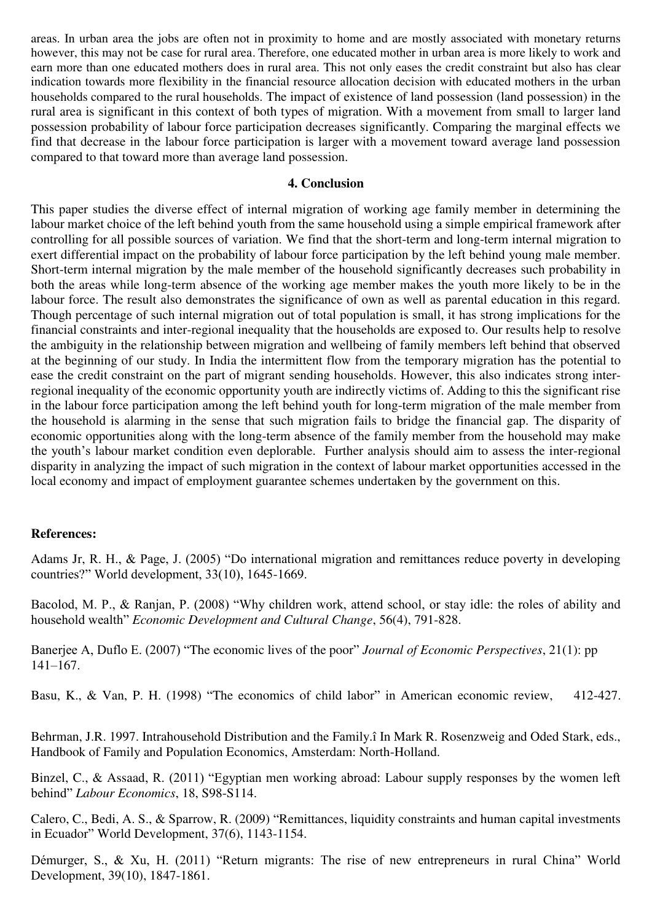areas. In urban area the jobs are often not in proximity to home and are mostly associated with monetary returns however, this may not be case for rural area. Therefore, one educated mother in urban area is more likely to work and earn more than one educated mothers does in rural area. This not only eases the credit constraint but also has clear indication towards more flexibility in the financial resource allocation decision with educated mothers in the urban households compared to the rural households. The impact of existence of land possession (land possession) in the rural area is significant in this context of both types of migration. With a movement from small to larger land possession probability of labour force participation decreases significantly. Comparing the marginal effects we find that decrease in the labour force participation is larger with a movement toward average land possession compared to that toward more than average land possession.

#### **4. Conclusion**

This paper studies the diverse effect of internal migration of working age family member in determining the labour market choice of the left behind youth from the same household using a simple empirical framework after controlling for all possible sources of variation. We find that the short-term and long-term internal migration to exert differential impact on the probability of labour force participation by the left behind young male member. Short-term internal migration by the male member of the household significantly decreases such probability in both the areas while long-term absence of the working age member makes the youth more likely to be in the labour force. The result also demonstrates the significance of own as well as parental education in this regard. Though percentage of such internal migration out of total population is small, it has strong implications for the financial constraints and inter-regional inequality that the households are exposed to. Our results help to resolve the ambiguity in the relationship between migration and wellbeing of family members left behind that observed at the beginning of our study. In India the intermittent flow from the temporary migration has the potential to ease the credit constraint on the part of migrant sending households. However, this also indicates strong interregional inequality of the economic opportunity youth are indirectly victims of. Adding to this the significant rise in the labour force participation among the left behind youth for long-term migration of the male member from the household is alarming in the sense that such migration fails to bridge the financial gap. The disparity of economic opportunities along with the long-term absence of the family member from the household may make the youth's labour market condition even deplorable. Further analysis should aim to assess the inter-regional disparity in analyzing the impact of such migration in the context of labour market opportunities accessed in the local economy and impact of employment guarantee schemes undertaken by the government on this.

#### **References:**

Adams Jr, R. H., & Page, J. (2005) "Do international migration and remittances reduce poverty in developing countries?" World development, 33(10), 1645-1669.

Bacolod, M. P., & Ranjan, P. (2008) "Why children work, attend school, or stay idle: the roles of ability and household wealth" *Economic Development and Cultural Change*, 56(4), 791-828.

Banerjee A, Duflo E. (2007) "The economic lives of the poor" *Journal of Economic Perspectives*, 21(1): pp 141–167.

Basu, K., & Van, P. H. (1998) "The economics of child labor" in American economic review, 412-427.

Behrman, J.R. 1997. Intrahousehold Distribution and the Family.î In Mark R. Rosenzweig and Oded Stark, eds., Handbook of Family and Population Economics, Amsterdam: North-Holland.

Binzel, C., & Assaad, R. (2011) "Egyptian men working abroad: Labour supply responses by the women left behind" *Labour Economics*, 18, S98-S114.

Calero, C., Bedi, A. S., & Sparrow, R. (2009) "Remittances, liquidity constraints and human capital investments in Ecuador" World Development, 37(6), 1143-1154.

Démurger, S., & Xu, H. (2011) "Return migrants: The rise of new entrepreneurs in rural China" World Development, 39(10), 1847-1861.